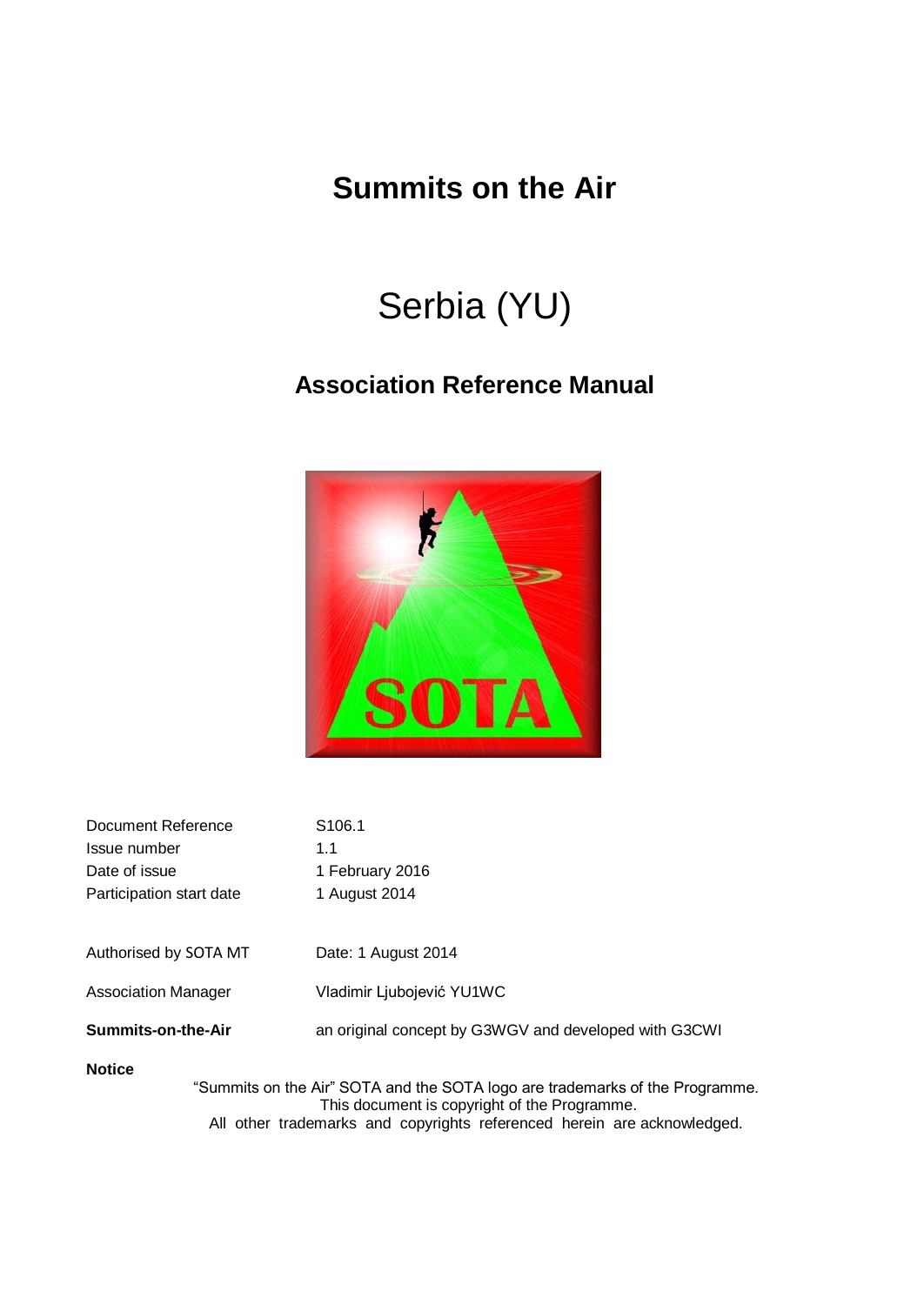## **Summits on the Air**

# Serbia (YU)

### **Association Reference Manual**



| Document Reference       | S <sub>106.1</sub> |
|--------------------------|--------------------|
| Issue number             | 11                 |
| Date of issue            | 1 February 2016    |
| Participation start date | 1 August 2014      |
|                          |                    |

Authorised by SOTA MT Date: 1 August 2014

Association Manager Vladimir Ljubojević YU1WC

**Summits-on-the-Air** an original concept by G3WGV and developed with G3CWI

#### **Notice**

"Summits on the Air" SOTA and the SOTA logo are trademarks of the Programme. This document is copyright of the Programme. All other trademarks and copyrights referenced herein are acknowledged.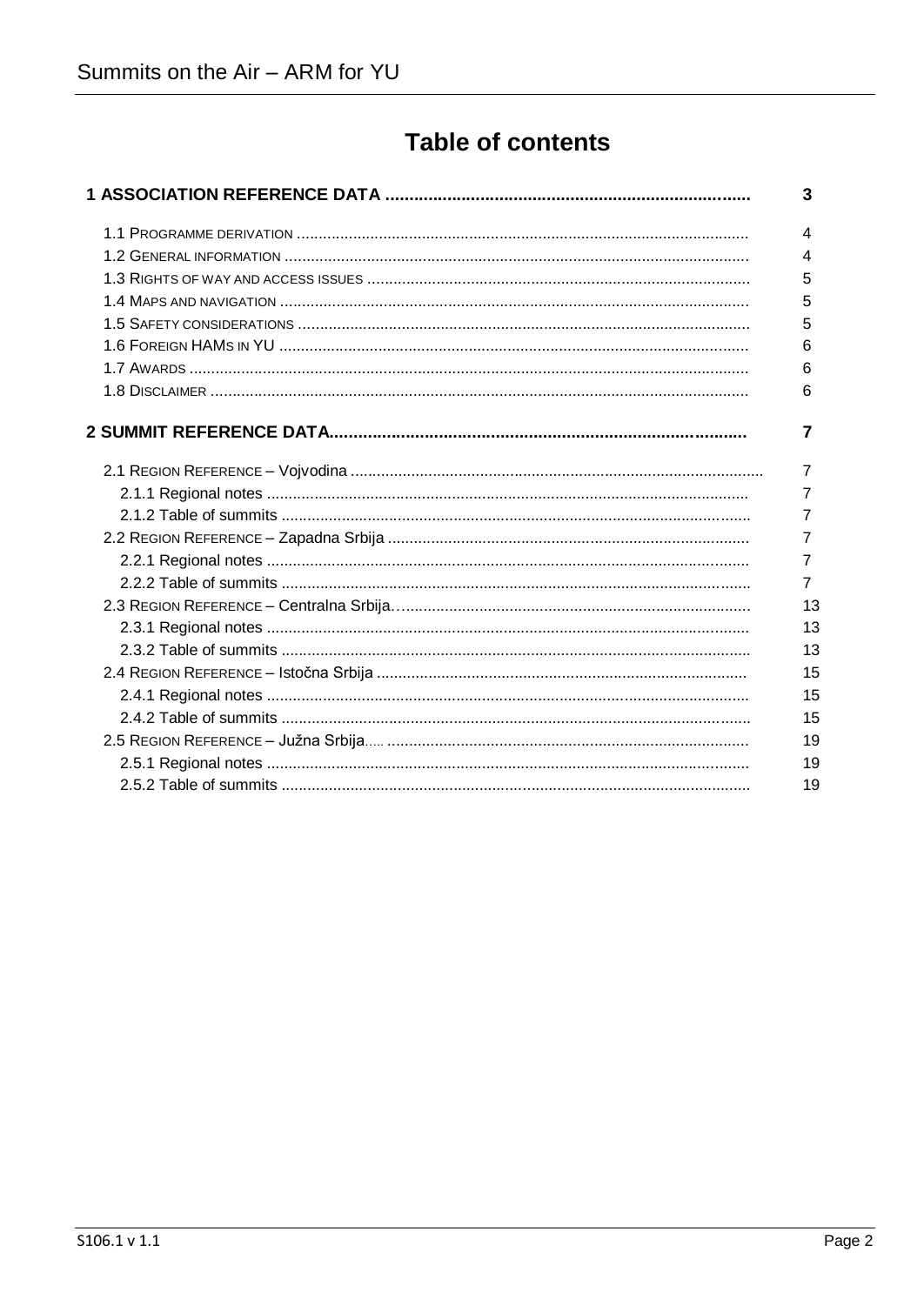### **Table of contents**

|  | 3              |
|--|----------------|
|  | 4              |
|  | 4              |
|  | 5              |
|  | 5              |
|  | 5              |
|  | 6              |
|  | 6              |
|  | 6              |
|  | 7              |
|  | 7              |
|  | 7              |
|  | 7              |
|  | 7              |
|  | $\overline{7}$ |
|  | $\overline{7}$ |
|  | 13             |
|  | 13             |
|  | 13             |
|  | 15             |
|  | 15             |
|  | 15             |
|  | 19             |
|  | 19             |
|  | 19             |
|  |                |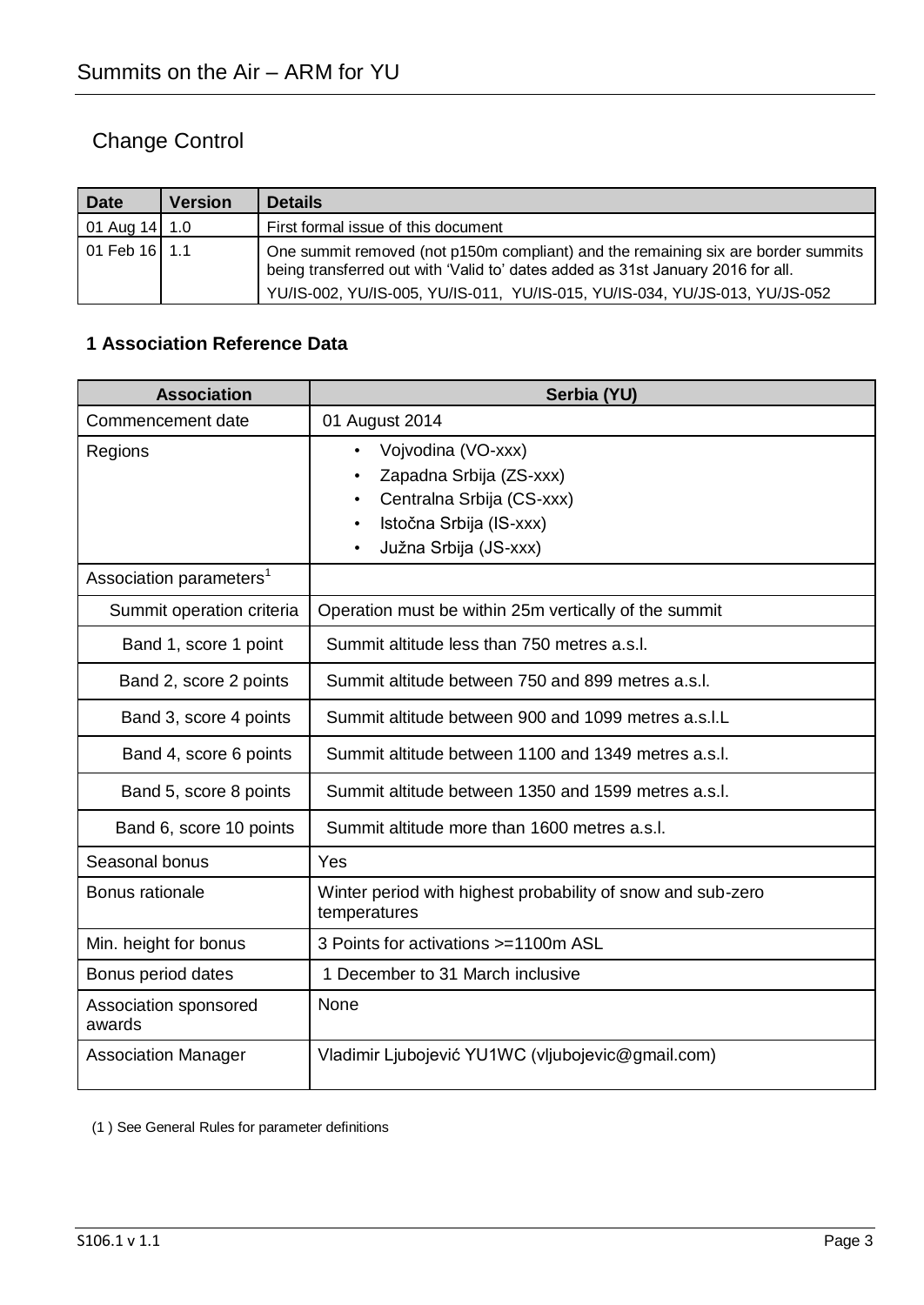### Change Control

| <b>Date</b>     | <b>Version</b> | <b>Details</b>                                                                                                                                                       |
|-----------------|----------------|----------------------------------------------------------------------------------------------------------------------------------------------------------------------|
| 01 Aug $14$ 1.0 |                | First formal issue of this document                                                                                                                                  |
| 01 Feb 16 1.1   |                | One summit removed (not p150m compliant) and the remaining six are border summits<br>being transferred out with 'Valid to' dates added as 31st January 2016 for all. |
|                 |                | YU/IS-002, YU/IS-005, YU/IS-011, YU/IS-015, YU/IS-034, YU/JS-013, YU/JS-052                                                                                          |

### **1 Association Reference Data**

| <b>Association</b>                  | Serbia (YU)                                                                                                                                              |
|-------------------------------------|----------------------------------------------------------------------------------------------------------------------------------------------------------|
| Commencement date                   | 01 August 2014                                                                                                                                           |
| Regions                             | Vojvodina (VO-xxx)<br>$\bullet$<br>Zapadna Srbija (ZS-xxx)<br>$\bullet$<br>Centralna Srbija (CS-xxx)<br>Istočna Srbija (IS-xxx)<br>Južna Srbija (JS-xxx) |
| Association parameters <sup>1</sup> |                                                                                                                                                          |
| Summit operation criteria           | Operation must be within 25m vertically of the summit                                                                                                    |
| Band 1, score 1 point               | Summit altitude less than 750 metres a.s.l.                                                                                                              |
| Band 2, score 2 points              | Summit altitude between 750 and 899 metres a.s.l.                                                                                                        |
| Band 3, score 4 points              | Summit altitude between 900 and 1099 metres a.s.l.L                                                                                                      |
| Band 4, score 6 points              | Summit altitude between 1100 and 1349 metres a.s.l.                                                                                                      |
| Band 5, score 8 points              | Summit altitude between 1350 and 1599 metres a.s.l.                                                                                                      |
| Band 6, score 10 points             | Summit altitude more than 1600 metres a.s.l.                                                                                                             |
| Seasonal bonus                      | Yes                                                                                                                                                      |
| Bonus rationale                     | Winter period with highest probability of snow and sub-zero<br>temperatures                                                                              |
| Min. height for bonus               | 3 Points for activations >=1100m ASL                                                                                                                     |
| Bonus period dates                  | 1 December to 31 March inclusive                                                                                                                         |
| Association sponsored<br>awards     | None                                                                                                                                                     |
| <b>Association Manager</b>          | Vladimir Ljubojević YU1WC (vljubojevic@gmail.com)                                                                                                        |

(1 ) See General Rules for parameter definitions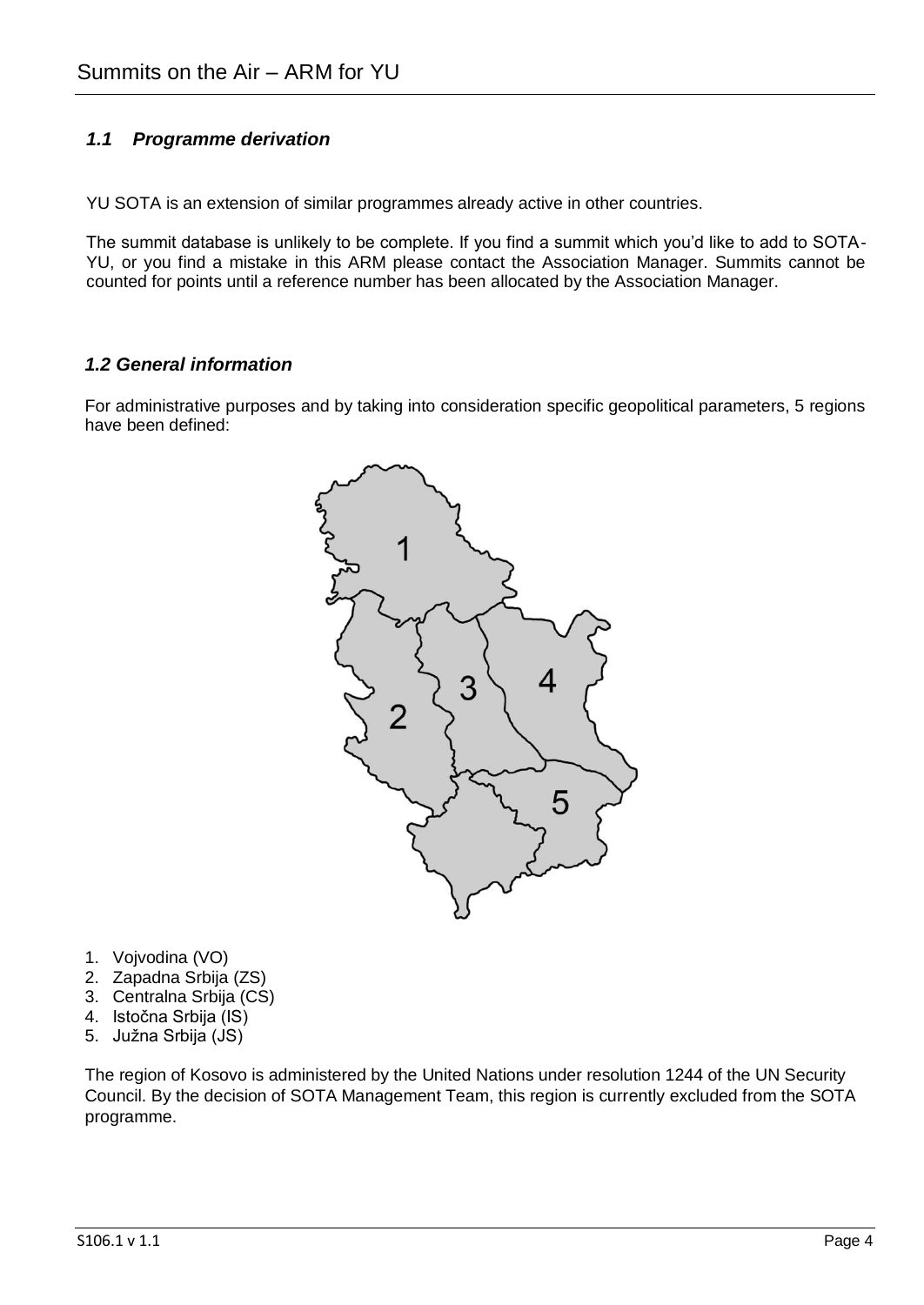### *1.1 Programme derivation*

YU SOTA is an extension of similar programmes already active in other countries.

The summit database is unlikely to be complete. If you find a summit which you'd like to add to SOTA-YU, or you find a mistake in this ARM please contact the Association Manager. Summits cannot be counted for points until a reference number has been allocated by the Association Manager.

#### *1.2 General information*

For administrative purposes and by taking into consideration specific geopolitical parameters, 5 regions have been defined:



- 1. Vojvodina (VO)
- 2. Zapadna Srbija (ZS)
- 3. Centralna Srbija (CS)
- 4. Istočna Srbija (IS)
- 5. Južna Srbija (JS)

The region of Kosovo is administered by the United Nations under resolution 1244 of the UN Security Council. By the decision of SOTA Management Team, this region is currently excluded from the SOTA programme.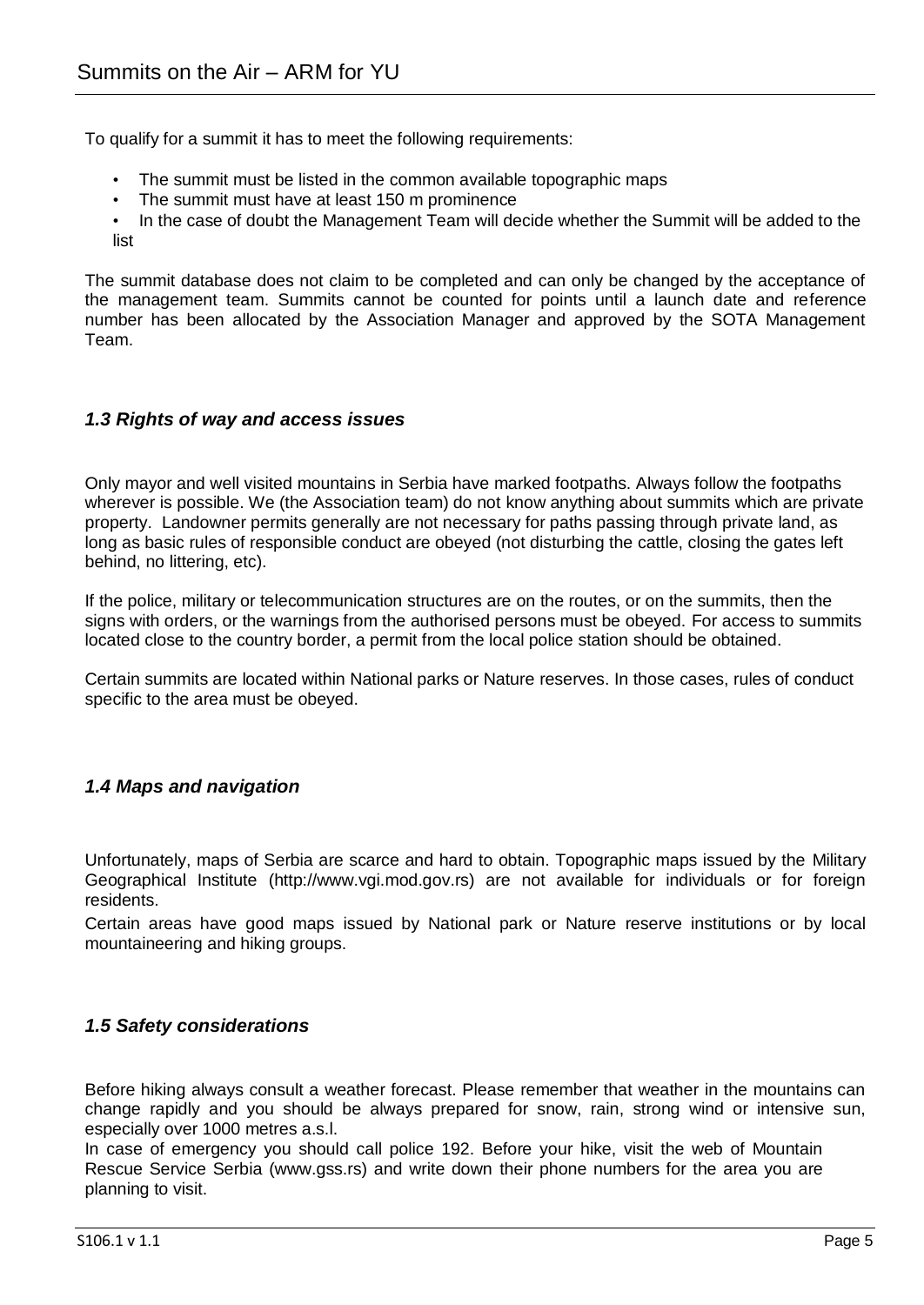To qualify for a summit it has to meet the following requirements:

- The summit must be listed in the common available topographic maps
- The summit must have at least 150 m prominence
- In the case of doubt the Management Team will decide whether the Summit will be added to the list

The summit database does not claim to be completed and can only be changed by the acceptance of the management team. Summits cannot be counted for points until a launch date and reference number has been allocated by the Association Manager and approved by the SOTA Management Team.

#### *1.3 Rights of way and access issues*

Only mayor and well visited mountains in Serbia have marked footpaths. Always follow the footpaths wherever is possible. We (the Association team) do not know anything about summits which are private property. Landowner permits generally are not necessary for paths passing through private land, as long as basic rules of responsible conduct are obeyed (not disturbing the cattle, closing the gates left behind, no littering, etc).

If the police, military or telecommunication structures are on the routes, or on the summits, then the signs with orders, or the warnings from the authorised persons must be obeved. For access to summits located close to the country border, a permit from the local police station should be obtained.

Certain summits are located within National parks or Nature reserves. In those cases, rules of conduct specific to the area must be obeyed.

### *1.4 Maps and navigation*

Unfortunately, maps of Serbia are scarce and hard to obtain. Topographic maps issued by the Military Geographical Institute (http://www.vgi.mod.gov.rs) are not available for individuals or for foreign residents.

Certain areas have good maps issued by National park or Nature reserve institutions or by local mountaineering and hiking groups.

#### *1.5 Safety considerations*

Before hiking always consult a weather forecast. Please remember that weather in the mountains can change rapidly and you should be always prepared for snow, rain, strong wind or intensive sun, especially over 1000 metres a.s.l.

In case of emergency you should call police 192. Before your hike, visit the web of Mountain Rescue Service Serbia (www.gss.rs) and write down their phone numbers for the area you are planning to visit.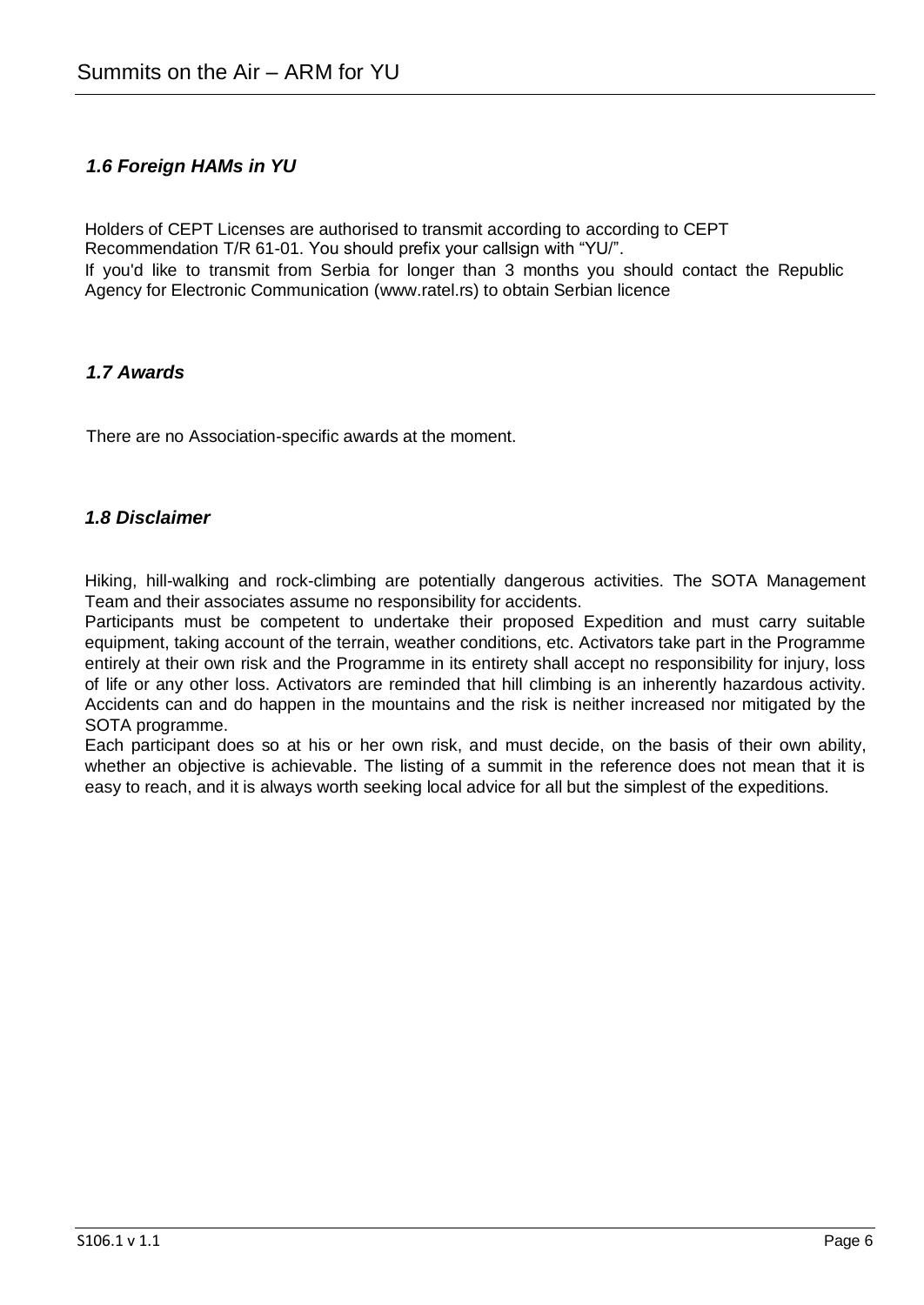### *1.6 Foreign HAMs in YU*

Holders of CEPT Licenses are authorised to transmit according to according to CEPT Recommendation T/R 61-01. You should prefix your callsign with "YU/". If you'd like to transmit from Serbia for longer than 3 months you should contact the Republic Agency for Electronic Communication (www.ratel.rs) to obtain Serbian licence

### *1.7 Awards*

There are no Association-specific awards at the moment.

### *1.8 Disclaimer*

Hiking, hill-walking and rock-climbing are potentially dangerous activities. The SOTA Management Team and their associates assume no responsibility for accidents.

Participants must be competent to undertake their proposed Expedition and must carry suitable equipment, taking account of the terrain, weather conditions, etc. Activators take part in the Programme entirely at their own risk and the Programme in its entirety shall accept no responsibility for injury, loss of life or any other loss. Activators are reminded that hill climbing is an inherently hazardous activity. Accidents can and do happen in the mountains and the risk is neither increased nor mitigated by the SOTA programme.

Each participant does so at his or her own risk, and must decide, on the basis of their own ability, whether an objective is achievable. The listing of a summit in the reference does not mean that it is easy to reach, and it is always worth seeking local advice for all but the simplest of the expeditions.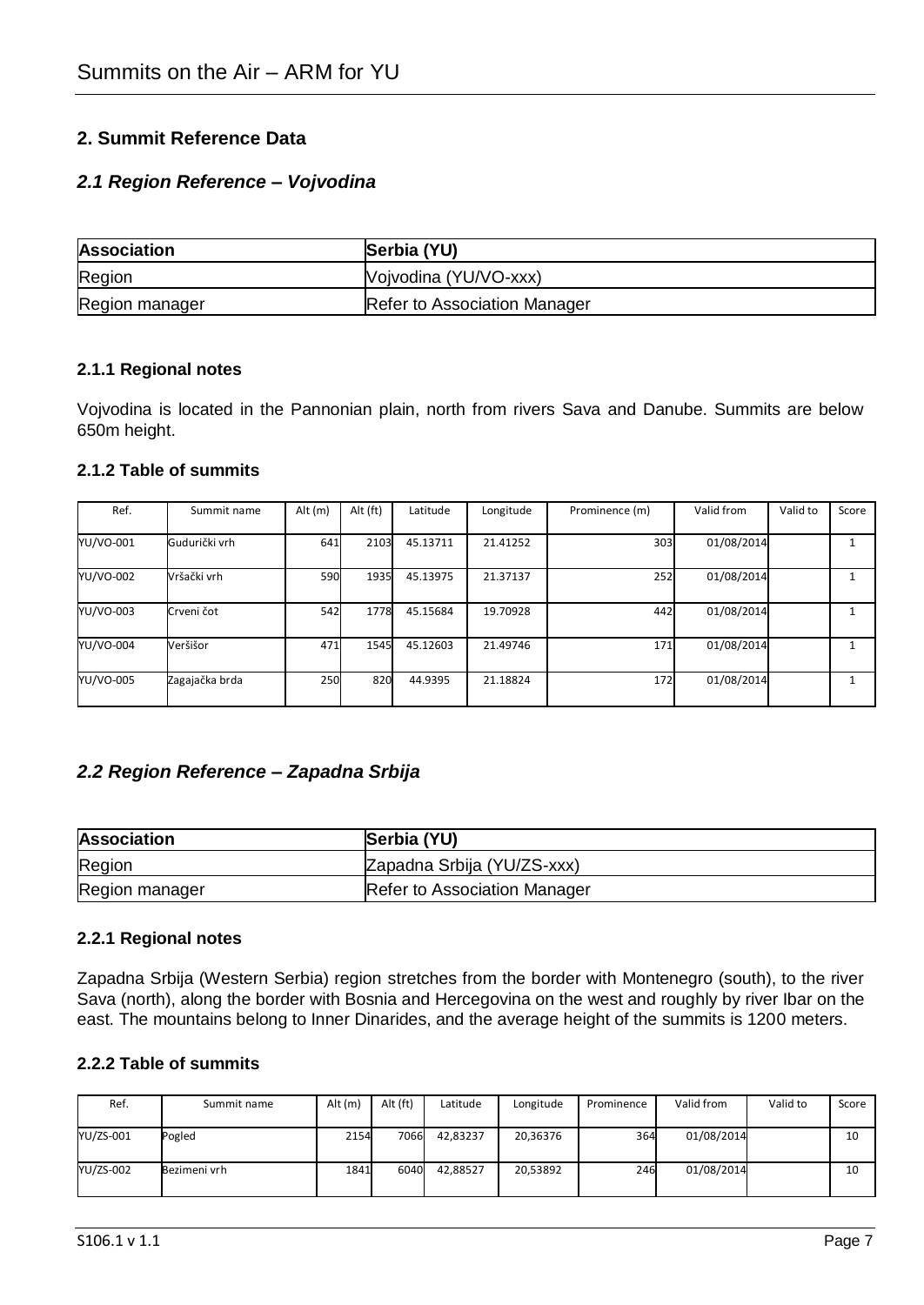### **2. Summit Reference Data**

### *2.1 Region Reference – Vojvodina*

| <b>Association</b> | Serbia (YU)                         |
|--------------------|-------------------------------------|
| Region             | Vojvodina (YU/VO-xxx)               |
| Region manager     | <b>Refer to Association Manager</b> |

#### **2.1.1 Regional notes**

Vojvodina is located in the Pannonian plain, north from rivers Sava and Danube. Summits are below 650m height.

#### **2.1.2 Table of summits**

| Ref.      | Summit name    | Alt $(m)$ | Alt (ft) | Latitude | Longitude | Prominence (m) | Valid from | Valid to | Score |
|-----------|----------------|-----------|----------|----------|-----------|----------------|------------|----------|-------|
| YU/VO-001 | Gudurički vrh  | 641       | 2103     | 45.13711 | 21.41252  | 303            | 01/08/2014 |          |       |
| YU/VO-002 | Vršački vrh    | 590       | 1935     | 45.13975 | 21.37137  | 252            | 01/08/2014 |          |       |
| YU/VO-003 | Crveni čot     | 542       | 1778     | 45.15684 | 19.70928  | 442            | 01/08/2014 |          |       |
| YU/VO-004 | Veršišor       | 471       | 1545     | 45.12603 | 21.49746  | 171            | 01/08/2014 |          |       |
| YU/VO-005 | Zagajačka brda | 250       | 820      | 44.9395  | 21.18824  | 172            | 01/08/2014 |          |       |

### *2.2 Region Reference – Zapadna Srbija*

| <b>Association</b> | Serbia (YU)                  |
|--------------------|------------------------------|
| Region             | Zapadna Srbija (YU/ZS-xxx)   |
| Region manager     | Refer to Association Manager |

#### **2.2.1 Regional notes**

Zapadna Srbija (Western Serbia) region stretches from the border with Montenegro (south), to the river Sava (north), along the border with Bosnia and Hercegovina on the west and roughly by river Ibar on the east. The mountains belong to Inner Dinarides, and the average height of the summits is 1200 meters.

#### **2.2.2 Table of summits**

| Ref.      | Summit name  | Alt (m) | Alt (ft) | Latitude | Longitude | Prominence | Valid from | Valid to | Score |
|-----------|--------------|---------|----------|----------|-----------|------------|------------|----------|-------|
| YU/ZS-001 | Pogled       | 2154    | 7066     | 42,83237 | 20,36376  | 364        | 01/08/2014 |          | 10    |
| YU/ZS-002 | Bezimeni vrh | 1841    | 6040     | 42.88527 | 20,53892  | 246        | 01/08/2014 |          | 10    |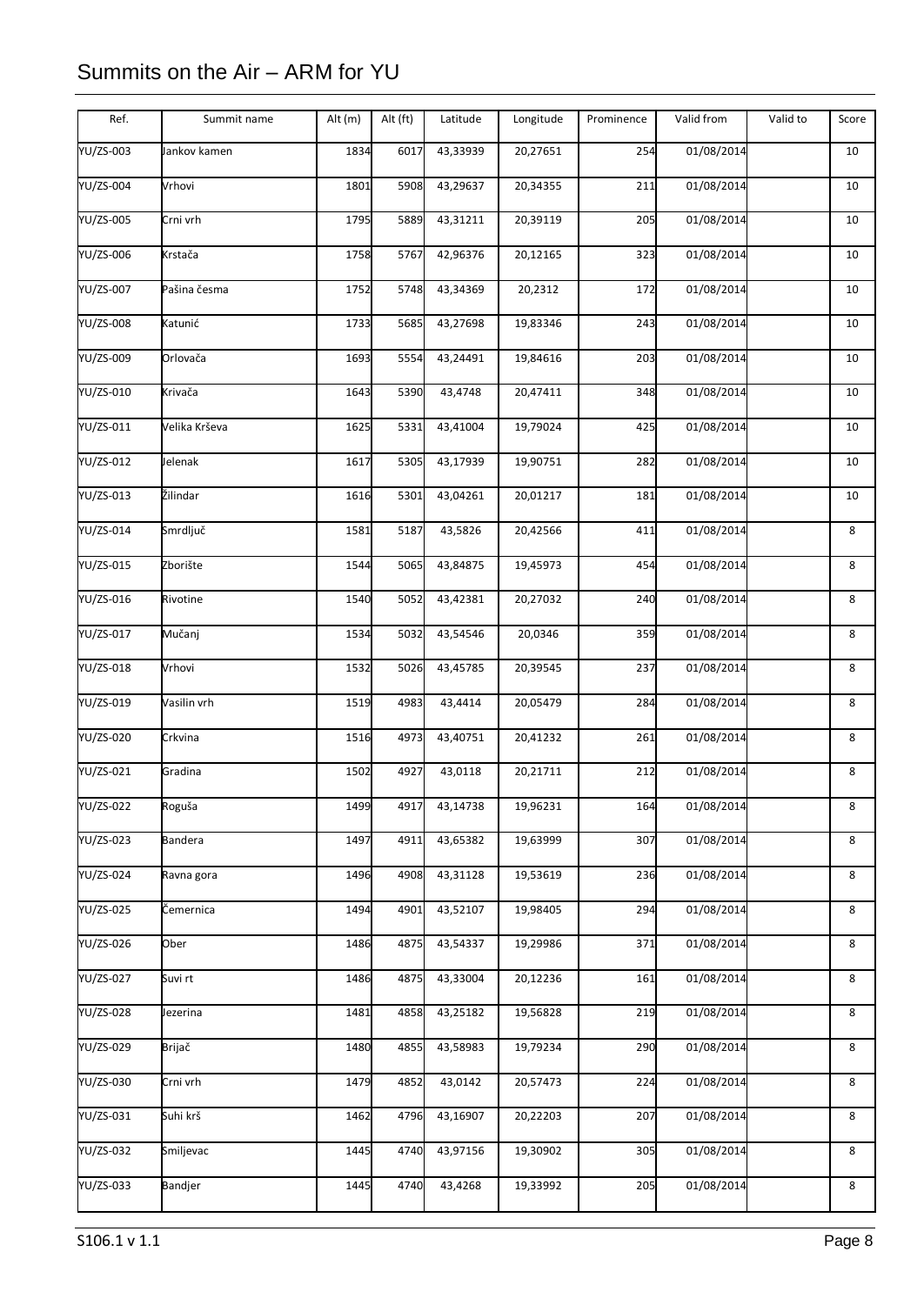| YU/ZS-003<br>1834<br>6017<br>43,33939<br>20,27651<br>254<br>01/08/2014<br>10<br>Jankov kamen<br><b>YU/ZS-004</b><br>Vrhovi<br>1801<br>5908<br>43,29637<br>20,34355<br>211<br>01/08/2014<br>10<br>YU/ZS-005<br>Crni vrh<br>1795<br>43,31211<br>20,39119<br>01/08/2014<br>5889<br>205<br>10<br>YU/ZS-006<br>Krstača<br>42,96376<br>20,12165<br>01/08/2014<br>1758<br>5767<br>323<br>10<br>43,34369<br>01/08/2014<br>Pašina česma<br>1752<br>20,2312<br>172<br>5748<br>10<br>YU/ZS-008<br>43,27698<br>01/08/2014<br>Katunić<br>1733<br>5685<br>19,83346<br>243<br>10<br><b>YU/ZS-009</b><br>Orlovača<br>1693<br>5554<br>43,24491<br>19,84616<br>203<br>01/08/2014<br>10<br>YU/ZS-010<br>Krivača<br>1643<br>5390<br>43,4748<br>20,47411<br>348<br>01/08/2014<br>10<br>YU/ZS-011<br>Velika Krševa<br>1625<br>5331<br>43,41004<br>19,79024<br>425<br>01/08/2014<br>10<br>YU/ZS-012<br>43,17939<br>19,90751<br>01/08/2014<br>Jelenak<br>1617<br>5305<br>282<br>10<br>Žilindar<br>YU/ZS-013<br>43,04261<br>20,01217<br>01/08/2014<br>1616<br>5301<br>181<br>10<br>YU/ZS-014<br>Smrdljuč<br>01/08/2014<br>1581<br>5187<br>43,5826<br>20,42566<br>411<br>8<br>Zborište<br>YU/ZS-015<br>1544<br>5065<br>43,84875<br>19,45973<br>454<br>01/08/2014<br>8<br>YU/ZS-016<br>43,42381<br>20,27032<br>01/08/2014<br>8<br>Rivotine<br>1540<br>5052<br>240<br>Mučanj<br>43,54546<br>01/08/2014<br>YU/ZS-017<br>5032<br>20,0346<br>359<br>8<br>1534<br>YU/ZS-018<br>Vrhovi<br>1532<br>43,45785<br>20,39545<br>237<br>01/08/2014<br>8<br>5026<br>YU/ZS-019<br>Vasilin vrh<br>43,4414<br>284<br>01/08/2014<br>1519<br>4983<br>20,05479<br>8<br>YU/ZS-020<br>43,40751<br>20,41232<br>01/08/2014<br>Crkvina<br>1516<br>4973<br>261<br>8<br>01/08/2014<br>Gradina<br>1502<br>4927<br>43,0118<br>20,21711<br>212<br>8<br>YU/ZS-022<br>Roguša<br>1499<br>4917<br>43,14738<br>19,96231<br>164<br>01/08/2014<br>8<br>YU/ZS-023<br><b>Bandera</b><br>43,65382<br>19,63999<br>01/08/2014<br>1497<br>4911<br>307<br>8<br>01/08/2014<br>1496<br>43,31128<br>19,53619<br>8<br>Ravna gora<br>4908<br>236<br>01/08/2014<br>Čemernica<br>1494<br>4901<br>43,52107<br>19,98405<br>294<br>8<br>YU/ZS-026<br>Ober<br>43,54337<br>19,29986<br>371<br>01/08/2014<br>8<br>1486<br>4875<br>Suvi rt<br>YU/ZS-027<br>1486<br>4875<br>43,33004<br>20,12236<br>161<br>01/08/2014<br>8<br>YU/ZS-028<br>43,25182<br>01/08/2014<br>Jezerina<br>1481<br>4858<br>19,56828<br>219<br>8<br>YU/ZS-029<br>Brijač<br>43,58983<br>19,79234<br>01/08/2014<br>1480<br>4855<br>290<br>8<br>YU/ZS-030<br>20,57473<br>01/08/2014<br>Crni vrh<br>1479<br>4852<br>43,0142<br>224<br>8<br>Suhi krš<br>01/08/2014<br>1462<br>4796<br>43,16907<br>20,22203<br>207<br>8<br>01/08/2014<br>YU/ZS-032<br>Smiljevac<br>1445<br>4740<br>43,97156<br>19,30902<br>305<br>8<br>YU/ZS-033<br>Bandjer<br>1445<br>4740<br>43,4268<br>19,33992<br>01/08/2014<br>205<br>8 | Ref.      | Summit name | Alt (m) | Alt (ft) | Latitude | Longitude | Prominence | Valid from | Valid to | Score |
|---------------------------------------------------------------------------------------------------------------------------------------------------------------------------------------------------------------------------------------------------------------------------------------------------------------------------------------------------------------------------------------------------------------------------------------------------------------------------------------------------------------------------------------------------------------------------------------------------------------------------------------------------------------------------------------------------------------------------------------------------------------------------------------------------------------------------------------------------------------------------------------------------------------------------------------------------------------------------------------------------------------------------------------------------------------------------------------------------------------------------------------------------------------------------------------------------------------------------------------------------------------------------------------------------------------------------------------------------------------------------------------------------------------------------------------------------------------------------------------------------------------------------------------------------------------------------------------------------------------------------------------------------------------------------------------------------------------------------------------------------------------------------------------------------------------------------------------------------------------------------------------------------------------------------------------------------------------------------------------------------------------------------------------------------------------------------------------------------------------------------------------------------------------------------------------------------------------------------------------------------------------------------------------------------------------------------------------------------------------------------------------------------------------------------------------------------------------------------------------------------------------------------------------------------------------------------------------------------------------------------------------------------------------------------------------------------------------------------------------------------------------------------------------------------------------------------------------------------------------------------------------|-----------|-------------|---------|----------|----------|-----------|------------|------------|----------|-------|
|                                                                                                                                                                                                                                                                                                                                                                                                                                                                                                                                                                                                                                                                                                                                                                                                                                                                                                                                                                                                                                                                                                                                                                                                                                                                                                                                                                                                                                                                                                                                                                                                                                                                                                                                                                                                                                                                                                                                                                                                                                                                                                                                                                                                                                                                                                                                                                                                                                                                                                                                                                                                                                                                                                                                                                                                                                                                                       |           |             |         |          |          |           |            |            |          |       |
|                                                                                                                                                                                                                                                                                                                                                                                                                                                                                                                                                                                                                                                                                                                                                                                                                                                                                                                                                                                                                                                                                                                                                                                                                                                                                                                                                                                                                                                                                                                                                                                                                                                                                                                                                                                                                                                                                                                                                                                                                                                                                                                                                                                                                                                                                                                                                                                                                                                                                                                                                                                                                                                                                                                                                                                                                                                                                       |           |             |         |          |          |           |            |            |          |       |
|                                                                                                                                                                                                                                                                                                                                                                                                                                                                                                                                                                                                                                                                                                                                                                                                                                                                                                                                                                                                                                                                                                                                                                                                                                                                                                                                                                                                                                                                                                                                                                                                                                                                                                                                                                                                                                                                                                                                                                                                                                                                                                                                                                                                                                                                                                                                                                                                                                                                                                                                                                                                                                                                                                                                                                                                                                                                                       |           |             |         |          |          |           |            |            |          |       |
|                                                                                                                                                                                                                                                                                                                                                                                                                                                                                                                                                                                                                                                                                                                                                                                                                                                                                                                                                                                                                                                                                                                                                                                                                                                                                                                                                                                                                                                                                                                                                                                                                                                                                                                                                                                                                                                                                                                                                                                                                                                                                                                                                                                                                                                                                                                                                                                                                                                                                                                                                                                                                                                                                                                                                                                                                                                                                       |           |             |         |          |          |           |            |            |          |       |
|                                                                                                                                                                                                                                                                                                                                                                                                                                                                                                                                                                                                                                                                                                                                                                                                                                                                                                                                                                                                                                                                                                                                                                                                                                                                                                                                                                                                                                                                                                                                                                                                                                                                                                                                                                                                                                                                                                                                                                                                                                                                                                                                                                                                                                                                                                                                                                                                                                                                                                                                                                                                                                                                                                                                                                                                                                                                                       | YU/ZS-007 |             |         |          |          |           |            |            |          |       |
|                                                                                                                                                                                                                                                                                                                                                                                                                                                                                                                                                                                                                                                                                                                                                                                                                                                                                                                                                                                                                                                                                                                                                                                                                                                                                                                                                                                                                                                                                                                                                                                                                                                                                                                                                                                                                                                                                                                                                                                                                                                                                                                                                                                                                                                                                                                                                                                                                                                                                                                                                                                                                                                                                                                                                                                                                                                                                       |           |             |         |          |          |           |            |            |          |       |
|                                                                                                                                                                                                                                                                                                                                                                                                                                                                                                                                                                                                                                                                                                                                                                                                                                                                                                                                                                                                                                                                                                                                                                                                                                                                                                                                                                                                                                                                                                                                                                                                                                                                                                                                                                                                                                                                                                                                                                                                                                                                                                                                                                                                                                                                                                                                                                                                                                                                                                                                                                                                                                                                                                                                                                                                                                                                                       |           |             |         |          |          |           |            |            |          |       |
|                                                                                                                                                                                                                                                                                                                                                                                                                                                                                                                                                                                                                                                                                                                                                                                                                                                                                                                                                                                                                                                                                                                                                                                                                                                                                                                                                                                                                                                                                                                                                                                                                                                                                                                                                                                                                                                                                                                                                                                                                                                                                                                                                                                                                                                                                                                                                                                                                                                                                                                                                                                                                                                                                                                                                                                                                                                                                       |           |             |         |          |          |           |            |            |          |       |
|                                                                                                                                                                                                                                                                                                                                                                                                                                                                                                                                                                                                                                                                                                                                                                                                                                                                                                                                                                                                                                                                                                                                                                                                                                                                                                                                                                                                                                                                                                                                                                                                                                                                                                                                                                                                                                                                                                                                                                                                                                                                                                                                                                                                                                                                                                                                                                                                                                                                                                                                                                                                                                                                                                                                                                                                                                                                                       |           |             |         |          |          |           |            |            |          |       |
|                                                                                                                                                                                                                                                                                                                                                                                                                                                                                                                                                                                                                                                                                                                                                                                                                                                                                                                                                                                                                                                                                                                                                                                                                                                                                                                                                                                                                                                                                                                                                                                                                                                                                                                                                                                                                                                                                                                                                                                                                                                                                                                                                                                                                                                                                                                                                                                                                                                                                                                                                                                                                                                                                                                                                                                                                                                                                       |           |             |         |          |          |           |            |            |          |       |
|                                                                                                                                                                                                                                                                                                                                                                                                                                                                                                                                                                                                                                                                                                                                                                                                                                                                                                                                                                                                                                                                                                                                                                                                                                                                                                                                                                                                                                                                                                                                                                                                                                                                                                                                                                                                                                                                                                                                                                                                                                                                                                                                                                                                                                                                                                                                                                                                                                                                                                                                                                                                                                                                                                                                                                                                                                                                                       |           |             |         |          |          |           |            |            |          |       |
|                                                                                                                                                                                                                                                                                                                                                                                                                                                                                                                                                                                                                                                                                                                                                                                                                                                                                                                                                                                                                                                                                                                                                                                                                                                                                                                                                                                                                                                                                                                                                                                                                                                                                                                                                                                                                                                                                                                                                                                                                                                                                                                                                                                                                                                                                                                                                                                                                                                                                                                                                                                                                                                                                                                                                                                                                                                                                       |           |             |         |          |          |           |            |            |          |       |
|                                                                                                                                                                                                                                                                                                                                                                                                                                                                                                                                                                                                                                                                                                                                                                                                                                                                                                                                                                                                                                                                                                                                                                                                                                                                                                                                                                                                                                                                                                                                                                                                                                                                                                                                                                                                                                                                                                                                                                                                                                                                                                                                                                                                                                                                                                                                                                                                                                                                                                                                                                                                                                                                                                                                                                                                                                                                                       |           |             |         |          |          |           |            |            |          |       |
|                                                                                                                                                                                                                                                                                                                                                                                                                                                                                                                                                                                                                                                                                                                                                                                                                                                                                                                                                                                                                                                                                                                                                                                                                                                                                                                                                                                                                                                                                                                                                                                                                                                                                                                                                                                                                                                                                                                                                                                                                                                                                                                                                                                                                                                                                                                                                                                                                                                                                                                                                                                                                                                                                                                                                                                                                                                                                       |           |             |         |          |          |           |            |            |          |       |
|                                                                                                                                                                                                                                                                                                                                                                                                                                                                                                                                                                                                                                                                                                                                                                                                                                                                                                                                                                                                                                                                                                                                                                                                                                                                                                                                                                                                                                                                                                                                                                                                                                                                                                                                                                                                                                                                                                                                                                                                                                                                                                                                                                                                                                                                                                                                                                                                                                                                                                                                                                                                                                                                                                                                                                                                                                                                                       |           |             |         |          |          |           |            |            |          |       |
|                                                                                                                                                                                                                                                                                                                                                                                                                                                                                                                                                                                                                                                                                                                                                                                                                                                                                                                                                                                                                                                                                                                                                                                                                                                                                                                                                                                                                                                                                                                                                                                                                                                                                                                                                                                                                                                                                                                                                                                                                                                                                                                                                                                                                                                                                                                                                                                                                                                                                                                                                                                                                                                                                                                                                                                                                                                                                       |           |             |         |          |          |           |            |            |          |       |
|                                                                                                                                                                                                                                                                                                                                                                                                                                                                                                                                                                                                                                                                                                                                                                                                                                                                                                                                                                                                                                                                                                                                                                                                                                                                                                                                                                                                                                                                                                                                                                                                                                                                                                                                                                                                                                                                                                                                                                                                                                                                                                                                                                                                                                                                                                                                                                                                                                                                                                                                                                                                                                                                                                                                                                                                                                                                                       |           |             |         |          |          |           |            |            |          |       |
|                                                                                                                                                                                                                                                                                                                                                                                                                                                                                                                                                                                                                                                                                                                                                                                                                                                                                                                                                                                                                                                                                                                                                                                                                                                                                                                                                                                                                                                                                                                                                                                                                                                                                                                                                                                                                                                                                                                                                                                                                                                                                                                                                                                                                                                                                                                                                                                                                                                                                                                                                                                                                                                                                                                                                                                                                                                                                       |           |             |         |          |          |           |            |            |          |       |
|                                                                                                                                                                                                                                                                                                                                                                                                                                                                                                                                                                                                                                                                                                                                                                                                                                                                                                                                                                                                                                                                                                                                                                                                                                                                                                                                                                                                                                                                                                                                                                                                                                                                                                                                                                                                                                                                                                                                                                                                                                                                                                                                                                                                                                                                                                                                                                                                                                                                                                                                                                                                                                                                                                                                                                                                                                                                                       | YU/ZS-021 |             |         |          |          |           |            |            |          |       |
|                                                                                                                                                                                                                                                                                                                                                                                                                                                                                                                                                                                                                                                                                                                                                                                                                                                                                                                                                                                                                                                                                                                                                                                                                                                                                                                                                                                                                                                                                                                                                                                                                                                                                                                                                                                                                                                                                                                                                                                                                                                                                                                                                                                                                                                                                                                                                                                                                                                                                                                                                                                                                                                                                                                                                                                                                                                                                       |           |             |         |          |          |           |            |            |          |       |
|                                                                                                                                                                                                                                                                                                                                                                                                                                                                                                                                                                                                                                                                                                                                                                                                                                                                                                                                                                                                                                                                                                                                                                                                                                                                                                                                                                                                                                                                                                                                                                                                                                                                                                                                                                                                                                                                                                                                                                                                                                                                                                                                                                                                                                                                                                                                                                                                                                                                                                                                                                                                                                                                                                                                                                                                                                                                                       |           |             |         |          |          |           |            |            |          |       |
|                                                                                                                                                                                                                                                                                                                                                                                                                                                                                                                                                                                                                                                                                                                                                                                                                                                                                                                                                                                                                                                                                                                                                                                                                                                                                                                                                                                                                                                                                                                                                                                                                                                                                                                                                                                                                                                                                                                                                                                                                                                                                                                                                                                                                                                                                                                                                                                                                                                                                                                                                                                                                                                                                                                                                                                                                                                                                       | YU/ZS-024 |             |         |          |          |           |            |            |          |       |
|                                                                                                                                                                                                                                                                                                                                                                                                                                                                                                                                                                                                                                                                                                                                                                                                                                                                                                                                                                                                                                                                                                                                                                                                                                                                                                                                                                                                                                                                                                                                                                                                                                                                                                                                                                                                                                                                                                                                                                                                                                                                                                                                                                                                                                                                                                                                                                                                                                                                                                                                                                                                                                                                                                                                                                                                                                                                                       | YU/ZS-025 |             |         |          |          |           |            |            |          |       |
|                                                                                                                                                                                                                                                                                                                                                                                                                                                                                                                                                                                                                                                                                                                                                                                                                                                                                                                                                                                                                                                                                                                                                                                                                                                                                                                                                                                                                                                                                                                                                                                                                                                                                                                                                                                                                                                                                                                                                                                                                                                                                                                                                                                                                                                                                                                                                                                                                                                                                                                                                                                                                                                                                                                                                                                                                                                                                       |           |             |         |          |          |           |            |            |          |       |
|                                                                                                                                                                                                                                                                                                                                                                                                                                                                                                                                                                                                                                                                                                                                                                                                                                                                                                                                                                                                                                                                                                                                                                                                                                                                                                                                                                                                                                                                                                                                                                                                                                                                                                                                                                                                                                                                                                                                                                                                                                                                                                                                                                                                                                                                                                                                                                                                                                                                                                                                                                                                                                                                                                                                                                                                                                                                                       |           |             |         |          |          |           |            |            |          |       |
|                                                                                                                                                                                                                                                                                                                                                                                                                                                                                                                                                                                                                                                                                                                                                                                                                                                                                                                                                                                                                                                                                                                                                                                                                                                                                                                                                                                                                                                                                                                                                                                                                                                                                                                                                                                                                                                                                                                                                                                                                                                                                                                                                                                                                                                                                                                                                                                                                                                                                                                                                                                                                                                                                                                                                                                                                                                                                       |           |             |         |          |          |           |            |            |          |       |
|                                                                                                                                                                                                                                                                                                                                                                                                                                                                                                                                                                                                                                                                                                                                                                                                                                                                                                                                                                                                                                                                                                                                                                                                                                                                                                                                                                                                                                                                                                                                                                                                                                                                                                                                                                                                                                                                                                                                                                                                                                                                                                                                                                                                                                                                                                                                                                                                                                                                                                                                                                                                                                                                                                                                                                                                                                                                                       |           |             |         |          |          |           |            |            |          |       |
|                                                                                                                                                                                                                                                                                                                                                                                                                                                                                                                                                                                                                                                                                                                                                                                                                                                                                                                                                                                                                                                                                                                                                                                                                                                                                                                                                                                                                                                                                                                                                                                                                                                                                                                                                                                                                                                                                                                                                                                                                                                                                                                                                                                                                                                                                                                                                                                                                                                                                                                                                                                                                                                                                                                                                                                                                                                                                       |           |             |         |          |          |           |            |            |          |       |
|                                                                                                                                                                                                                                                                                                                                                                                                                                                                                                                                                                                                                                                                                                                                                                                                                                                                                                                                                                                                                                                                                                                                                                                                                                                                                                                                                                                                                                                                                                                                                                                                                                                                                                                                                                                                                                                                                                                                                                                                                                                                                                                                                                                                                                                                                                                                                                                                                                                                                                                                                                                                                                                                                                                                                                                                                                                                                       | YU/ZS-031 |             |         |          |          |           |            |            |          |       |
|                                                                                                                                                                                                                                                                                                                                                                                                                                                                                                                                                                                                                                                                                                                                                                                                                                                                                                                                                                                                                                                                                                                                                                                                                                                                                                                                                                                                                                                                                                                                                                                                                                                                                                                                                                                                                                                                                                                                                                                                                                                                                                                                                                                                                                                                                                                                                                                                                                                                                                                                                                                                                                                                                                                                                                                                                                                                                       |           |             |         |          |          |           |            |            |          |       |
|                                                                                                                                                                                                                                                                                                                                                                                                                                                                                                                                                                                                                                                                                                                                                                                                                                                                                                                                                                                                                                                                                                                                                                                                                                                                                                                                                                                                                                                                                                                                                                                                                                                                                                                                                                                                                                                                                                                                                                                                                                                                                                                                                                                                                                                                                                                                                                                                                                                                                                                                                                                                                                                                                                                                                                                                                                                                                       |           |             |         |          |          |           |            |            |          |       |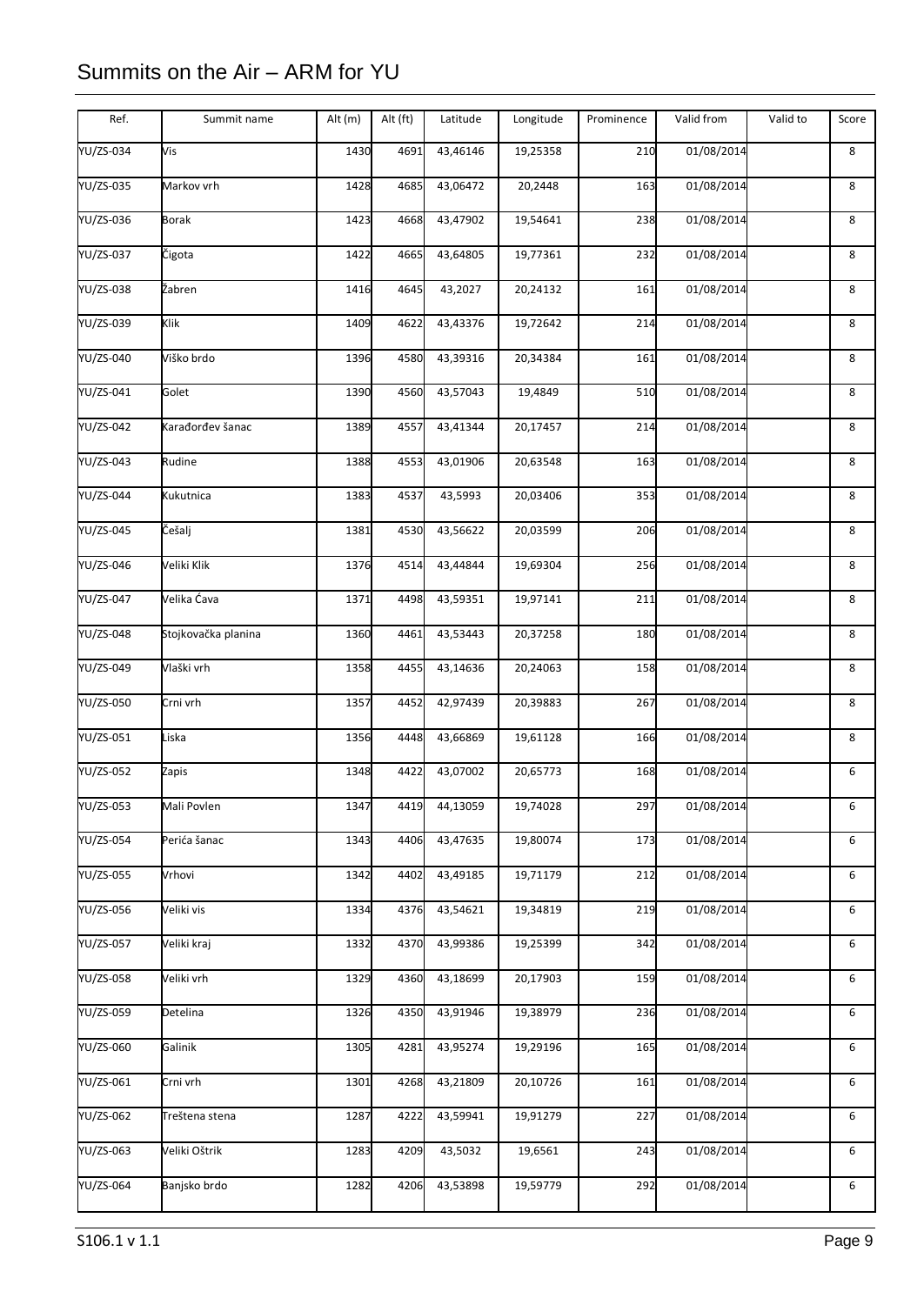| YU/ZS-034<br>Vis<br>1430<br>4691<br>43,46146<br>19,25358<br>210<br>01/08/2014<br>8<br>YU/ZS-035<br>Markov vrh<br>1428<br>4685<br>43,06472<br>20,2448<br>163<br>01/08/2014<br>8<br>YU/ZS-036<br><b>Borak</b><br>43,47902<br>19,54641<br>01/08/2014<br>1423<br>4668<br>238<br>8<br>YU/ZS-037<br>43,64805<br>19,77361<br>01/08/2014<br>8<br>Čigota<br>1422<br>4665<br>232<br>Žabren<br>01/08/2014<br>43,2027<br>20,24132<br>161<br>8<br>1416<br>4645<br>YU/ZS-039<br>Klik<br>43,43376<br>01/08/2014<br>1409<br>4622<br>19,72642<br>214<br>8<br><b>YU/ZS-040</b><br>Viško brdo<br>43,39316<br>4580<br>20,34384<br>161<br>01/08/2014<br>8<br>1396<br>Golet<br>YU/ZS-041<br>43,57043<br>19,4849<br>510<br>01/08/2014<br>8<br>1390<br>4560<br>YU/ZS-042<br>4557<br>43,41344<br>20,17457<br>214<br>01/08/2014<br>8<br>Karađorđev šanac<br>1389<br>YU/ZS-043<br>Rudine<br>43,01906<br>20,63548<br>01/08/2014<br>8<br>1388<br>4553<br>163<br>YU/ZS-044<br>Kukutnica<br>20,03406<br>01/08/2014<br>1383<br>4537<br>43,5993<br>353<br>8<br>YU/ZS-045<br>Češalj<br>01/08/2014<br>43,56622<br>20,03599<br>206<br>8<br>1381<br>4530<br>Veliki Klik<br>43,44844<br>YU/ZS-046<br>1376<br>4514<br>19,69304<br>256<br>01/08/2014<br>8<br>Velika Ćava<br>YU/ZS-047<br>43,59351<br>19,97141<br>01/08/2014<br>8<br>1371<br>4498<br>211<br>43,53443<br>01/08/2014<br>YU/ZS-048<br>Stojkovačka planina<br>20,37258<br>180<br>8<br>1360<br>4461<br>Vlaški vrh<br>YU/ZS-049<br>1358<br>43,14636<br>20,24063<br>01/08/2014<br>8<br>4455<br>158<br>YU/ZS-050<br>42,97439<br>267<br>01/08/2014<br>Crni vrh<br>1357<br>4452<br>20,39883<br>8<br>YU/ZS-051<br>Liska<br>01/08/2014<br>1356<br>43,66869<br>19,61128<br>166<br>8<br>4448<br>4422<br>43,07002<br>20,65773<br>01/08/2014<br>Zapis<br>1348<br>168<br>6<br>Mali Povlen<br>1347<br>4419<br>44,13059<br>19,74028<br>297<br>01/08/2014<br>6<br>YU/ZS-054<br>Perića šanac<br>4406<br>43,47635<br>19,80074<br>173<br>01/08/2014<br>1343<br>6<br>43,49185<br>01/08/2014<br>Vrhovi<br>1342<br>4402<br>19,71179<br>212<br>6<br>01/08/2014<br>YU/ZS-056<br>Veliki vis<br>1334<br>4376<br>43,54621<br>19,34819<br>219<br>6<br>YU/ZS-057<br>Veliki kraj<br>4370<br>43,99386<br>19,25399<br>01/08/2014<br>1332<br>342<br>6<br>Veliki vrh<br>43,18699<br>YU/ZS-058<br>1329<br>4360<br>20,17903<br>159<br>01/08/2014<br>6<br>YU/ZS-059<br>Detelina<br>43,91946<br>01/08/2014<br>1326<br>4350<br>19,38979<br>236<br>6<br>YU/ZS-060<br>Galinik<br>43,95274<br>01/08/2014<br>1305<br>4281<br>19,29196<br>165<br>6<br>YU/ZS-061<br>43,21809<br>01/08/2014<br>Crni vrh<br>4268<br>20,10726<br>161<br>6<br>1301<br>YU/ZS-062<br>01/08/2014<br>Treštena stena<br>43,59941<br>19,91279<br>227<br>6<br>1287<br>4222<br>Veliki Oštrik<br>01/08/2014<br>YU/ZS-063<br>1283<br>4209<br>43,5032<br>19,6561<br>243<br>6<br>YU/ZS-064<br>Banjsko brdo<br>4206<br>43,53898<br>19,59779<br>292<br>01/08/2014<br>1282<br>6 | Ref.             | Summit name | Alt (m) | Alt (ft) | Latitude | Longitude | Prominence | Valid from | Valid to | Score |
|--------------------------------------------------------------------------------------------------------------------------------------------------------------------------------------------------------------------------------------------------------------------------------------------------------------------------------------------------------------------------------------------------------------------------------------------------------------------------------------------------------------------------------------------------------------------------------------------------------------------------------------------------------------------------------------------------------------------------------------------------------------------------------------------------------------------------------------------------------------------------------------------------------------------------------------------------------------------------------------------------------------------------------------------------------------------------------------------------------------------------------------------------------------------------------------------------------------------------------------------------------------------------------------------------------------------------------------------------------------------------------------------------------------------------------------------------------------------------------------------------------------------------------------------------------------------------------------------------------------------------------------------------------------------------------------------------------------------------------------------------------------------------------------------------------------------------------------------------------------------------------------------------------------------------------------------------------------------------------------------------------------------------------------------------------------------------------------------------------------------------------------------------------------------------------------------------------------------------------------------------------------------------------------------------------------------------------------------------------------------------------------------------------------------------------------------------------------------------------------------------------------------------------------------------------------------------------------------------------------------------------------------------------------------------------------------------------------------------------------------------------------------------------------------------------------------------------------------------------------------------------------------------------------------|------------------|-------------|---------|----------|----------|-----------|------------|------------|----------|-------|
|                                                                                                                                                                                                                                                                                                                                                                                                                                                                                                                                                                                                                                                                                                                                                                                                                                                                                                                                                                                                                                                                                                                                                                                                                                                                                                                                                                                                                                                                                                                                                                                                                                                                                                                                                                                                                                                                                                                                                                                                                                                                                                                                                                                                                                                                                                                                                                                                                                                                                                                                                                                                                                                                                                                                                                                                                                                                                                                    |                  |             |         |          |          |           |            |            |          |       |
|                                                                                                                                                                                                                                                                                                                                                                                                                                                                                                                                                                                                                                                                                                                                                                                                                                                                                                                                                                                                                                                                                                                                                                                                                                                                                                                                                                                                                                                                                                                                                                                                                                                                                                                                                                                                                                                                                                                                                                                                                                                                                                                                                                                                                                                                                                                                                                                                                                                                                                                                                                                                                                                                                                                                                                                                                                                                                                                    |                  |             |         |          |          |           |            |            |          |       |
|                                                                                                                                                                                                                                                                                                                                                                                                                                                                                                                                                                                                                                                                                                                                                                                                                                                                                                                                                                                                                                                                                                                                                                                                                                                                                                                                                                                                                                                                                                                                                                                                                                                                                                                                                                                                                                                                                                                                                                                                                                                                                                                                                                                                                                                                                                                                                                                                                                                                                                                                                                                                                                                                                                                                                                                                                                                                                                                    |                  |             |         |          |          |           |            |            |          |       |
|                                                                                                                                                                                                                                                                                                                                                                                                                                                                                                                                                                                                                                                                                                                                                                                                                                                                                                                                                                                                                                                                                                                                                                                                                                                                                                                                                                                                                                                                                                                                                                                                                                                                                                                                                                                                                                                                                                                                                                                                                                                                                                                                                                                                                                                                                                                                                                                                                                                                                                                                                                                                                                                                                                                                                                                                                                                                                                                    |                  |             |         |          |          |           |            |            |          |       |
|                                                                                                                                                                                                                                                                                                                                                                                                                                                                                                                                                                                                                                                                                                                                                                                                                                                                                                                                                                                                                                                                                                                                                                                                                                                                                                                                                                                                                                                                                                                                                                                                                                                                                                                                                                                                                                                                                                                                                                                                                                                                                                                                                                                                                                                                                                                                                                                                                                                                                                                                                                                                                                                                                                                                                                                                                                                                                                                    | YU/ZS-038        |             |         |          |          |           |            |            |          |       |
|                                                                                                                                                                                                                                                                                                                                                                                                                                                                                                                                                                                                                                                                                                                                                                                                                                                                                                                                                                                                                                                                                                                                                                                                                                                                                                                                                                                                                                                                                                                                                                                                                                                                                                                                                                                                                                                                                                                                                                                                                                                                                                                                                                                                                                                                                                                                                                                                                                                                                                                                                                                                                                                                                                                                                                                                                                                                                                                    |                  |             |         |          |          |           |            |            |          |       |
|                                                                                                                                                                                                                                                                                                                                                                                                                                                                                                                                                                                                                                                                                                                                                                                                                                                                                                                                                                                                                                                                                                                                                                                                                                                                                                                                                                                                                                                                                                                                                                                                                                                                                                                                                                                                                                                                                                                                                                                                                                                                                                                                                                                                                                                                                                                                                                                                                                                                                                                                                                                                                                                                                                                                                                                                                                                                                                                    |                  |             |         |          |          |           |            |            |          |       |
|                                                                                                                                                                                                                                                                                                                                                                                                                                                                                                                                                                                                                                                                                                                                                                                                                                                                                                                                                                                                                                                                                                                                                                                                                                                                                                                                                                                                                                                                                                                                                                                                                                                                                                                                                                                                                                                                                                                                                                                                                                                                                                                                                                                                                                                                                                                                                                                                                                                                                                                                                                                                                                                                                                                                                                                                                                                                                                                    |                  |             |         |          |          |           |            |            |          |       |
|                                                                                                                                                                                                                                                                                                                                                                                                                                                                                                                                                                                                                                                                                                                                                                                                                                                                                                                                                                                                                                                                                                                                                                                                                                                                                                                                                                                                                                                                                                                                                                                                                                                                                                                                                                                                                                                                                                                                                                                                                                                                                                                                                                                                                                                                                                                                                                                                                                                                                                                                                                                                                                                                                                                                                                                                                                                                                                                    |                  |             |         |          |          |           |            |            |          |       |
|                                                                                                                                                                                                                                                                                                                                                                                                                                                                                                                                                                                                                                                                                                                                                                                                                                                                                                                                                                                                                                                                                                                                                                                                                                                                                                                                                                                                                                                                                                                                                                                                                                                                                                                                                                                                                                                                                                                                                                                                                                                                                                                                                                                                                                                                                                                                                                                                                                                                                                                                                                                                                                                                                                                                                                                                                                                                                                                    |                  |             |         |          |          |           |            |            |          |       |
|                                                                                                                                                                                                                                                                                                                                                                                                                                                                                                                                                                                                                                                                                                                                                                                                                                                                                                                                                                                                                                                                                                                                                                                                                                                                                                                                                                                                                                                                                                                                                                                                                                                                                                                                                                                                                                                                                                                                                                                                                                                                                                                                                                                                                                                                                                                                                                                                                                                                                                                                                                                                                                                                                                                                                                                                                                                                                                                    |                  |             |         |          |          |           |            |            |          |       |
|                                                                                                                                                                                                                                                                                                                                                                                                                                                                                                                                                                                                                                                                                                                                                                                                                                                                                                                                                                                                                                                                                                                                                                                                                                                                                                                                                                                                                                                                                                                                                                                                                                                                                                                                                                                                                                                                                                                                                                                                                                                                                                                                                                                                                                                                                                                                                                                                                                                                                                                                                                                                                                                                                                                                                                                                                                                                                                                    |                  |             |         |          |          |           |            |            |          |       |
|                                                                                                                                                                                                                                                                                                                                                                                                                                                                                                                                                                                                                                                                                                                                                                                                                                                                                                                                                                                                                                                                                                                                                                                                                                                                                                                                                                                                                                                                                                                                                                                                                                                                                                                                                                                                                                                                                                                                                                                                                                                                                                                                                                                                                                                                                                                                                                                                                                                                                                                                                                                                                                                                                                                                                                                                                                                                                                                    |                  |             |         |          |          |           |            |            |          |       |
|                                                                                                                                                                                                                                                                                                                                                                                                                                                                                                                                                                                                                                                                                                                                                                                                                                                                                                                                                                                                                                                                                                                                                                                                                                                                                                                                                                                                                                                                                                                                                                                                                                                                                                                                                                                                                                                                                                                                                                                                                                                                                                                                                                                                                                                                                                                                                                                                                                                                                                                                                                                                                                                                                                                                                                                                                                                                                                                    |                  |             |         |          |          |           |            |            |          |       |
|                                                                                                                                                                                                                                                                                                                                                                                                                                                                                                                                                                                                                                                                                                                                                                                                                                                                                                                                                                                                                                                                                                                                                                                                                                                                                                                                                                                                                                                                                                                                                                                                                                                                                                                                                                                                                                                                                                                                                                                                                                                                                                                                                                                                                                                                                                                                                                                                                                                                                                                                                                                                                                                                                                                                                                                                                                                                                                                    |                  |             |         |          |          |           |            |            |          |       |
|                                                                                                                                                                                                                                                                                                                                                                                                                                                                                                                                                                                                                                                                                                                                                                                                                                                                                                                                                                                                                                                                                                                                                                                                                                                                                                                                                                                                                                                                                                                                                                                                                                                                                                                                                                                                                                                                                                                                                                                                                                                                                                                                                                                                                                                                                                                                                                                                                                                                                                                                                                                                                                                                                                                                                                                                                                                                                                                    |                  |             |         |          |          |           |            |            |          |       |
|                                                                                                                                                                                                                                                                                                                                                                                                                                                                                                                                                                                                                                                                                                                                                                                                                                                                                                                                                                                                                                                                                                                                                                                                                                                                                                                                                                                                                                                                                                                                                                                                                                                                                                                                                                                                                                                                                                                                                                                                                                                                                                                                                                                                                                                                                                                                                                                                                                                                                                                                                                                                                                                                                                                                                                                                                                                                                                                    |                  |             |         |          |          |           |            |            |          |       |
|                                                                                                                                                                                                                                                                                                                                                                                                                                                                                                                                                                                                                                                                                                                                                                                                                                                                                                                                                                                                                                                                                                                                                                                                                                                                                                                                                                                                                                                                                                                                                                                                                                                                                                                                                                                                                                                                                                                                                                                                                                                                                                                                                                                                                                                                                                                                                                                                                                                                                                                                                                                                                                                                                                                                                                                                                                                                                                                    |                  |             |         |          |          |           |            |            |          |       |
|                                                                                                                                                                                                                                                                                                                                                                                                                                                                                                                                                                                                                                                                                                                                                                                                                                                                                                                                                                                                                                                                                                                                                                                                                                                                                                                                                                                                                                                                                                                                                                                                                                                                                                                                                                                                                                                                                                                                                                                                                                                                                                                                                                                                                                                                                                                                                                                                                                                                                                                                                                                                                                                                                                                                                                                                                                                                                                                    | YU/ZS-052        |             |         |          |          |           |            |            |          |       |
|                                                                                                                                                                                                                                                                                                                                                                                                                                                                                                                                                                                                                                                                                                                                                                                                                                                                                                                                                                                                                                                                                                                                                                                                                                                                                                                                                                                                                                                                                                                                                                                                                                                                                                                                                                                                                                                                                                                                                                                                                                                                                                                                                                                                                                                                                                                                                                                                                                                                                                                                                                                                                                                                                                                                                                                                                                                                                                                    | YU/ZS-053        |             |         |          |          |           |            |            |          |       |
|                                                                                                                                                                                                                                                                                                                                                                                                                                                                                                                                                                                                                                                                                                                                                                                                                                                                                                                                                                                                                                                                                                                                                                                                                                                                                                                                                                                                                                                                                                                                                                                                                                                                                                                                                                                                                                                                                                                                                                                                                                                                                                                                                                                                                                                                                                                                                                                                                                                                                                                                                                                                                                                                                                                                                                                                                                                                                                                    |                  |             |         |          |          |           |            |            |          |       |
|                                                                                                                                                                                                                                                                                                                                                                                                                                                                                                                                                                                                                                                                                                                                                                                                                                                                                                                                                                                                                                                                                                                                                                                                                                                                                                                                                                                                                                                                                                                                                                                                                                                                                                                                                                                                                                                                                                                                                                                                                                                                                                                                                                                                                                                                                                                                                                                                                                                                                                                                                                                                                                                                                                                                                                                                                                                                                                                    | <b>YU/ZS-055</b> |             |         |          |          |           |            |            |          |       |
|                                                                                                                                                                                                                                                                                                                                                                                                                                                                                                                                                                                                                                                                                                                                                                                                                                                                                                                                                                                                                                                                                                                                                                                                                                                                                                                                                                                                                                                                                                                                                                                                                                                                                                                                                                                                                                                                                                                                                                                                                                                                                                                                                                                                                                                                                                                                                                                                                                                                                                                                                                                                                                                                                                                                                                                                                                                                                                                    |                  |             |         |          |          |           |            |            |          |       |
|                                                                                                                                                                                                                                                                                                                                                                                                                                                                                                                                                                                                                                                                                                                                                                                                                                                                                                                                                                                                                                                                                                                                                                                                                                                                                                                                                                                                                                                                                                                                                                                                                                                                                                                                                                                                                                                                                                                                                                                                                                                                                                                                                                                                                                                                                                                                                                                                                                                                                                                                                                                                                                                                                                                                                                                                                                                                                                                    |                  |             |         |          |          |           |            |            |          |       |
|                                                                                                                                                                                                                                                                                                                                                                                                                                                                                                                                                                                                                                                                                                                                                                                                                                                                                                                                                                                                                                                                                                                                                                                                                                                                                                                                                                                                                                                                                                                                                                                                                                                                                                                                                                                                                                                                                                                                                                                                                                                                                                                                                                                                                                                                                                                                                                                                                                                                                                                                                                                                                                                                                                                                                                                                                                                                                                                    |                  |             |         |          |          |           |            |            |          |       |
|                                                                                                                                                                                                                                                                                                                                                                                                                                                                                                                                                                                                                                                                                                                                                                                                                                                                                                                                                                                                                                                                                                                                                                                                                                                                                                                                                                                                                                                                                                                                                                                                                                                                                                                                                                                                                                                                                                                                                                                                                                                                                                                                                                                                                                                                                                                                                                                                                                                                                                                                                                                                                                                                                                                                                                                                                                                                                                                    |                  |             |         |          |          |           |            |            |          |       |
|                                                                                                                                                                                                                                                                                                                                                                                                                                                                                                                                                                                                                                                                                                                                                                                                                                                                                                                                                                                                                                                                                                                                                                                                                                                                                                                                                                                                                                                                                                                                                                                                                                                                                                                                                                                                                                                                                                                                                                                                                                                                                                                                                                                                                                                                                                                                                                                                                                                                                                                                                                                                                                                                                                                                                                                                                                                                                                                    |                  |             |         |          |          |           |            |            |          |       |
|                                                                                                                                                                                                                                                                                                                                                                                                                                                                                                                                                                                                                                                                                                                                                                                                                                                                                                                                                                                                                                                                                                                                                                                                                                                                                                                                                                                                                                                                                                                                                                                                                                                                                                                                                                                                                                                                                                                                                                                                                                                                                                                                                                                                                                                                                                                                                                                                                                                                                                                                                                                                                                                                                                                                                                                                                                                                                                                    |                  |             |         |          |          |           |            |            |          |       |
|                                                                                                                                                                                                                                                                                                                                                                                                                                                                                                                                                                                                                                                                                                                                                                                                                                                                                                                                                                                                                                                                                                                                                                                                                                                                                                                                                                                                                                                                                                                                                                                                                                                                                                                                                                                                                                                                                                                                                                                                                                                                                                                                                                                                                                                                                                                                                                                                                                                                                                                                                                                                                                                                                                                                                                                                                                                                                                                    |                  |             |         |          |          |           |            |            |          |       |
|                                                                                                                                                                                                                                                                                                                                                                                                                                                                                                                                                                                                                                                                                                                                                                                                                                                                                                                                                                                                                                                                                                                                                                                                                                                                                                                                                                                                                                                                                                                                                                                                                                                                                                                                                                                                                                                                                                                                                                                                                                                                                                                                                                                                                                                                                                                                                                                                                                                                                                                                                                                                                                                                                                                                                                                                                                                                                                                    |                  |             |         |          |          |           |            |            |          |       |
|                                                                                                                                                                                                                                                                                                                                                                                                                                                                                                                                                                                                                                                                                                                                                                                                                                                                                                                                                                                                                                                                                                                                                                                                                                                                                                                                                                                                                                                                                                                                                                                                                                                                                                                                                                                                                                                                                                                                                                                                                                                                                                                                                                                                                                                                                                                                                                                                                                                                                                                                                                                                                                                                                                                                                                                                                                                                                                                    |                  |             |         |          |          |           |            |            |          |       |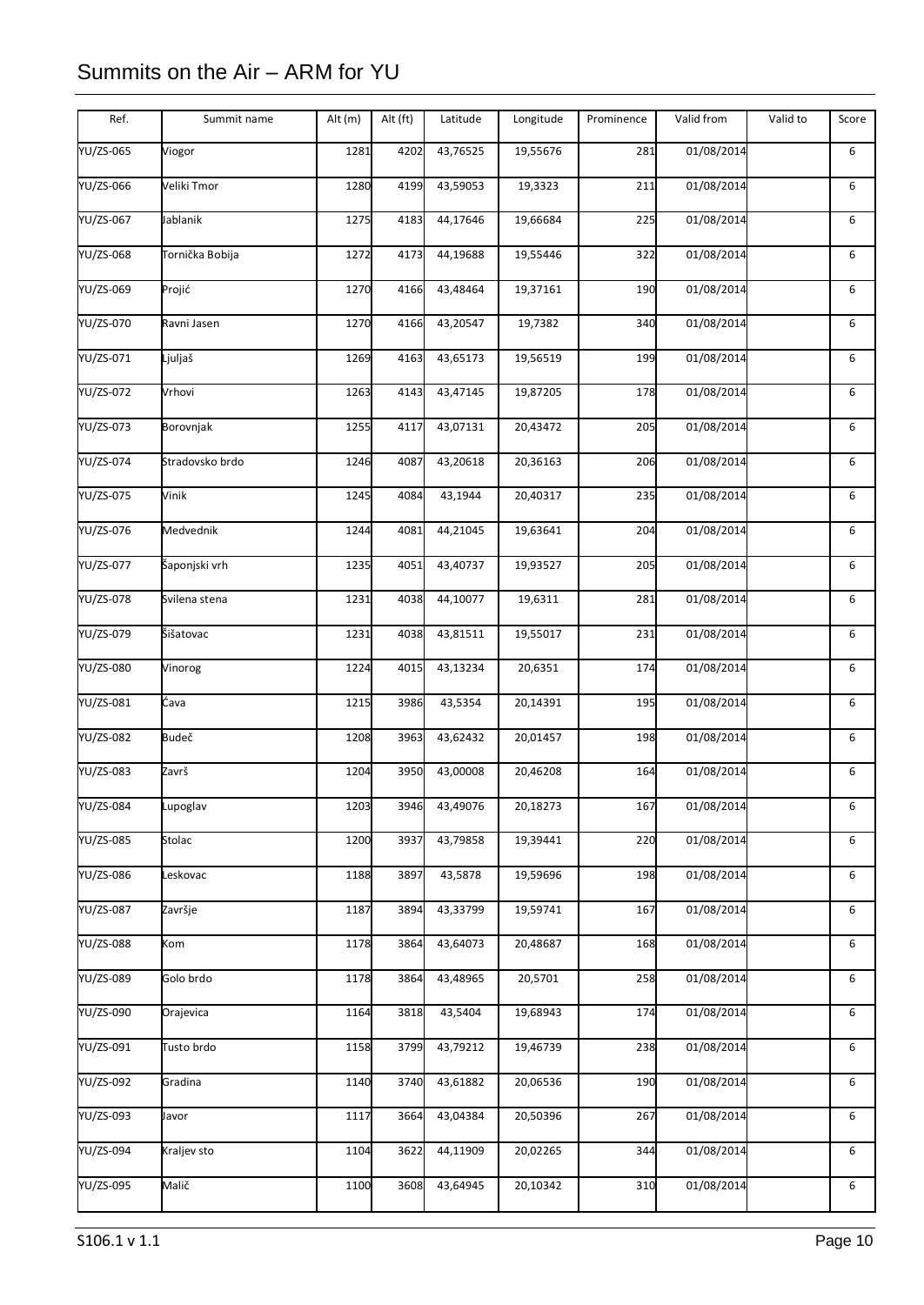| Ref.             | Summit name     | Alt (m) | Alt (ft) | Latitude | Longitude | Prominence | Valid from | Valid to | Score |
|------------------|-----------------|---------|----------|----------|-----------|------------|------------|----------|-------|
| YU/ZS-065        | Viogor          | 1281    | 4202     | 43,76525 | 19,55676  | 281        | 01/08/2014 |          | 6     |
| YU/ZS-066        | Veliki Tmor     | 1280    | 4199     | 43,59053 | 19,3323   | 211        | 01/08/2014 |          | 6     |
| YU/ZS-067        | Jablanik        | 1275    | 4183     | 44,17646 | 19,66684  | 225        | 01/08/2014 |          | 6     |
| YU/ZS-068        | Tornička Bobija | 1272    | 4173     | 44,19688 | 19,55446  | 322        | 01/08/2014 |          | 6     |
| YU/ZS-069        | Projić          | 1270    | 4166     | 43,48464 | 19,37161  | 190        | 01/08/2014 |          | 6     |
| YU/ZS-070        | Ravni Jasen     | 1270    | 4166     | 43,20547 | 19,7382   | 340        | 01/08/2014 |          | 6     |
| YU/ZS-071        | Ljuljaš         | 1269    | 4163     | 43,65173 | 19,56519  | 199        | 01/08/2014 |          | 6     |
| YU/ZS-072        | Vrhovi          | 1263    | 4143     | 43,47145 | 19,87205  | 178        | 01/08/2014 |          | 6     |
| YU/ZS-073        | Borovnjak       | 1255    | 4117     | 43,07131 | 20,43472  | 205        | 01/08/2014 |          | 6     |
| <b>YU/ZS-074</b> | Stradovsko brdo | 1246    | 4087     | 43,20618 | 20,36163  | 206        | 01/08/2014 |          | 6     |
| YU/ZS-075        | Vinik           | 1245    | 4084     | 43,1944  | 20,40317  | 235        | 01/08/2014 |          | 6     |
| YU/ZS-076        | Medvednik       | 1244    | 4081     | 44,21045 | 19,63641  | 204        | 01/08/2014 |          | 6     |
| YU/ZS-077        | Šaponjski vrh   | 1235    | 4051     | 43,40737 | 19,93527  | 205        | 01/08/2014 |          | 6     |
| YU/ZS-078        | Svilena stena   | 1231    | 4038     | 44,10077 | 19,6311   | 281        | 01/08/2014 |          | 6     |
| YU/ZS-079        | Šišatovac       | 1231    | 4038     | 43,81511 | 19,55017  | 231        | 01/08/2014 |          | 6     |
| YU/ZS-080        | Vinorog         | 1224    | 4015     | 43,13234 | 20,6351   | 174        | 01/08/2014 |          | 6     |
| YU/ZS-081        | Ćava            | 1215    | 3986     | 43,5354  | 20,14391  | 195        | 01/08/2014 |          | 6     |
| YU/ZS-082        | <b>Budeč</b>    | 1208    | 3963     | 43,62432 | 20,01457  | 198        | 01/08/2014 |          | 6     |
| YU/ZS-083        | Završ           | 1204    | 3950     | 43,00008 | 20,46208  | 164        | 01/08/2014 |          | 6     |
| YU/ZS-084        | Lupoglav        | 1203    | 3946     | 43,49076 | 20,18273  | 167        | 01/08/2014 |          | 6     |
| <b>YU/ZS-085</b> | Stolac          | 1200    | 3937     | 43,79858 | 19,39441  | 220        | 01/08/2014 |          | 6     |
| YU/ZS-086        | Leskovac        | 1188    | 3897     | 43,5878  | 19,59696  | 198        | 01/08/2014 |          | 6     |
| <b>YU/ZS-087</b> | Završje         | 1187    | 3894     | 43,33799 | 19,59741  | 167        | 01/08/2014 |          | 6     |
| YU/ZS-088        | Kom             | 1178    | 3864     | 43,64073 | 20,48687  | 168        | 01/08/2014 |          | 6     |
| YU/ZS-089        | Golo brdo       | 1178    | 3864     | 43,48965 | 20,5701   | 258        | 01/08/2014 |          | 6     |
| YU/ZS-090        | Orajevica       | 1164    | 3818     | 43,5404  | 19,68943  | 174        | 01/08/2014 |          | 6     |
| YU/ZS-091        | Tusto brdo      | 1158    | 3799     | 43,79212 | 19,46739  | 238        | 01/08/2014 |          | 6     |
| YU/ZS-092        | Gradina         | 1140    | 3740     | 43,61882 | 20,06536  | 190        | 01/08/2014 |          | 6     |
| YU/ZS-093        | Javor           | 1117    | 3664     | 43,04384 | 20,50396  | 267        | 01/08/2014 |          | 6     |
| YU/ZS-094        | Kraljev sto     | 1104    | 3622     | 44,11909 | 20,02265  | 344        | 01/08/2014 |          | 6     |
| YU/ZS-095        | Malič           | 1100    | 3608     | 43,64945 | 20,10342  | 310        | 01/08/2014 |          | 6     |
|                  |                 |         |          |          |           |            |            |          |       |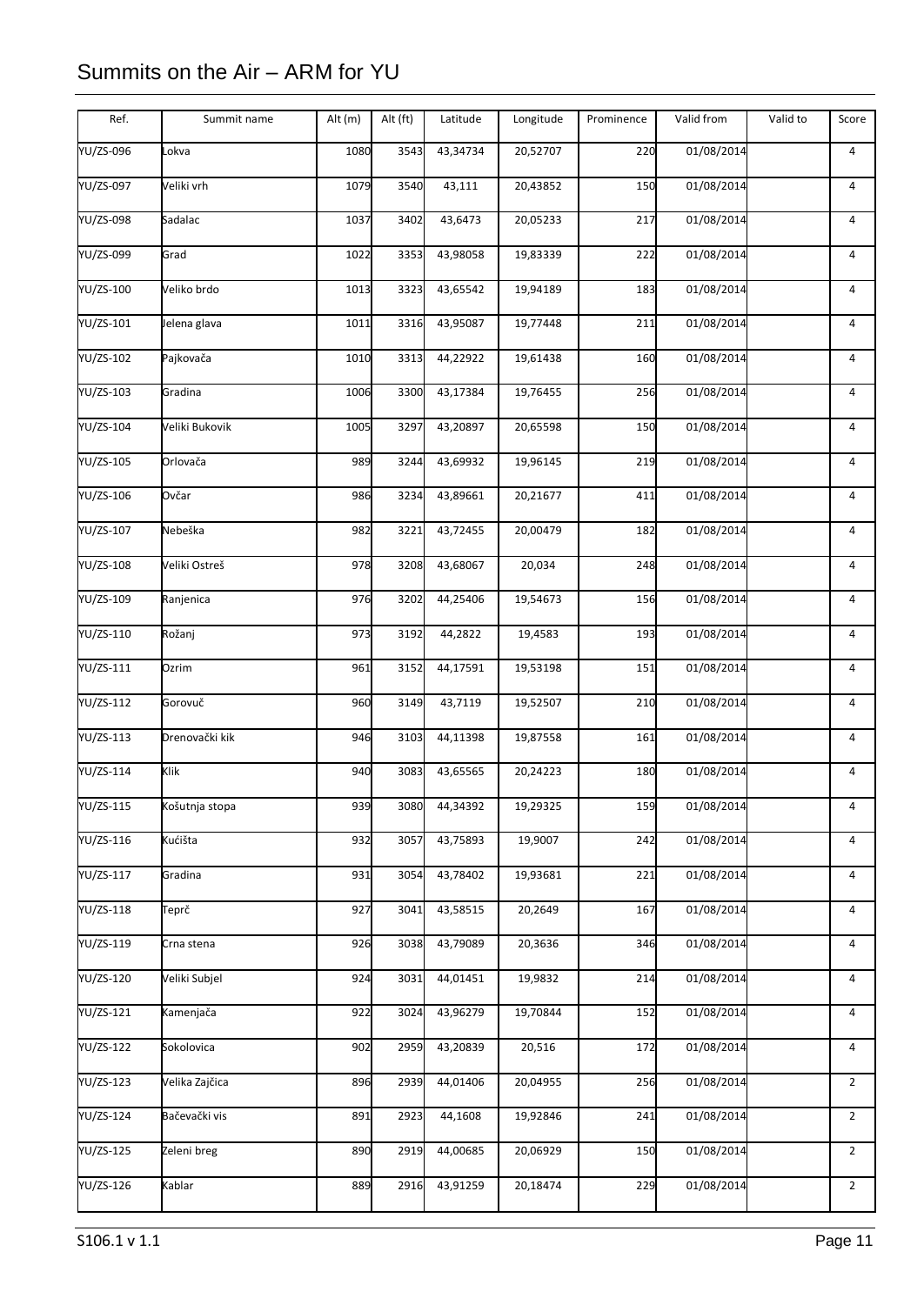| Ref.             | Summit name    | Alt $(m)$ | Alt (ft) | Latitude | Longitude | Prominence | Valid from | Valid to | Score          |
|------------------|----------------|-----------|----------|----------|-----------|------------|------------|----------|----------------|
| YU/ZS-096        | Lokva          | 1080      | 3543     | 43,34734 | 20,52707  | 220        | 01/08/2014 |          | 4              |
| YU/ZS-097        | Veliki vrh     | 1079      | 3540     | 43,111   | 20,43852  | 150        | 01/08/2014 |          | 4              |
| YU/ZS-098        | Sadalac        | 1037      | 3402     | 43,6473  | 20,05233  | 217        | 01/08/2014 |          | 4              |
| YU/ZS-099        | Grad           | 1022      | 3353     | 43,98058 | 19,83339  | 222        | 01/08/2014 |          | 4              |
| YU/ZS-100        | Veliko brdo    | 1013      | 3323     | 43,65542 | 19,94189  | 183        | 01/08/2014 |          | $\overline{4}$ |
| YU/ZS-101        | Jelena glava   | 1011      | 3316     | 43,95087 | 19,77448  | 211        | 01/08/2014 |          | 4              |
| YU/ZS-102        | Pajkovača      | 1010      | 3313     | 44,22922 | 19,61438  | 160        | 01/08/2014 |          | 4              |
| YU/ZS-103        | Gradina        | 1006      | 3300     | 43,17384 | 19,76455  | 256        | 01/08/2014 |          | 4              |
| YU/ZS-104        | Veliki Bukovik | 1005      | 3297     | 43,20897 | 20,65598  | 150        | 01/08/2014 |          | 4              |
| <b>YU/ZS-105</b> | Orlovača       | 989       | 3244     | 43,69932 | 19,96145  | 219        | 01/08/2014 |          | 4              |
| YU/ZS-106        | Ovčar          | 986       | 3234     | 43,89661 | 20,21677  | 411        | 01/08/2014 |          | 4              |
| YU/ZS-107        | Nebeška        | 982       | 3221     | 43,72455 | 20,00479  | 182        | 01/08/2014 |          | 4              |
| YU/ZS-108        | Veliki Ostreš  | 978       | 3208     | 43,68067 | 20,034    | 248        | 01/08/2014 |          | 4              |
| YU/ZS-109        | Ranjenica      | 976       | 3202     | 44,25406 | 19,54673  | 156        | 01/08/2014 |          | 4              |
| YU/ZS-110        | Rožanj         | 973       | 3192     | 44,2822  | 19,4583   | 193        | 01/08/2014 |          | $\overline{4}$ |
| YU/ZS-111        | Ozrim          | 961       | 3152     | 44,17591 | 19,53198  | 151        | 01/08/2014 |          | 4              |
| YU/ZS-112        | Gorovuč        | 960       | 3149     | 43,7119  | 19,52507  | 210        | 01/08/2014 |          | 4              |
| YU/ZS-113        | Drenovački kik | 946       | 3103     | 44,11398 | 19,87558  | 161        | 01/08/2014 |          | 4              |
| YU/ZS-114        | Klik           | 940       | 3083     | 43,65565 | 20,24223  | 180        | 01/08/2014 |          | 4              |
| YU/ZS-115        | Košutnja stopa | 939       | 3080     | 44,34392 | 19,29325  | 159        | 01/08/2014 |          | 4              |
| YU/ZS-116        | Kućišta        | 932       | 3057     | 43,75893 | 19,9007   | 242        | 01/08/2014 |          | 4              |
| YU/ZS-117        | Gradina        | 931       | 3054     | 43,78402 | 19,93681  | 221        | 01/08/2014 |          | $\overline{4}$ |
| YU/ZS-118        | Teprč          | 927       | 3041     | 43,58515 | 20,2649   | 167        | 01/08/2014 |          | 4              |
| YU/ZS-119        | Crna stena     | 926       | 3038     | 43,79089 | 20,3636   | 346        | 01/08/2014 |          | 4              |
| YU/ZS-120        | Veliki Subjel  | 924       | 3031     | 44,01451 | 19,9832   | 214        | 01/08/2014 |          | 4              |
| YU/ZS-121        | Kamenjača      | 922       | 3024     | 43,96279 | 19,70844  | 152        | 01/08/2014 |          | 4              |
| <b>YU/ZS-122</b> | Sokolovica     | 902       | 2959     | 43,20839 | 20,516    | 172        | 01/08/2014 |          | 4              |
| YU/ZS-123        | Velika Zajčica | 896       | 2939     | 44,01406 | 20,04955  | 256        | 01/08/2014 |          | $\overline{2}$ |
| YU/ZS-124        | Bačevački vis  | 891       | 2923     | 44,1608  | 19,92846  | 241        | 01/08/2014 |          | $\overline{2}$ |
| <b>YU/ZS-125</b> | Zeleni breg    | 890       | 2919     | 44,00685 | 20,06929  | 150        | 01/08/2014 |          | $\overline{2}$ |
| YU/ZS-126        | <b>Kablar</b>  | 889       | 2916     | 43,91259 | 20,18474  | 229        | 01/08/2014 |          | $\overline{2}$ |
|                  |                |           |          |          |           |            |            |          |                |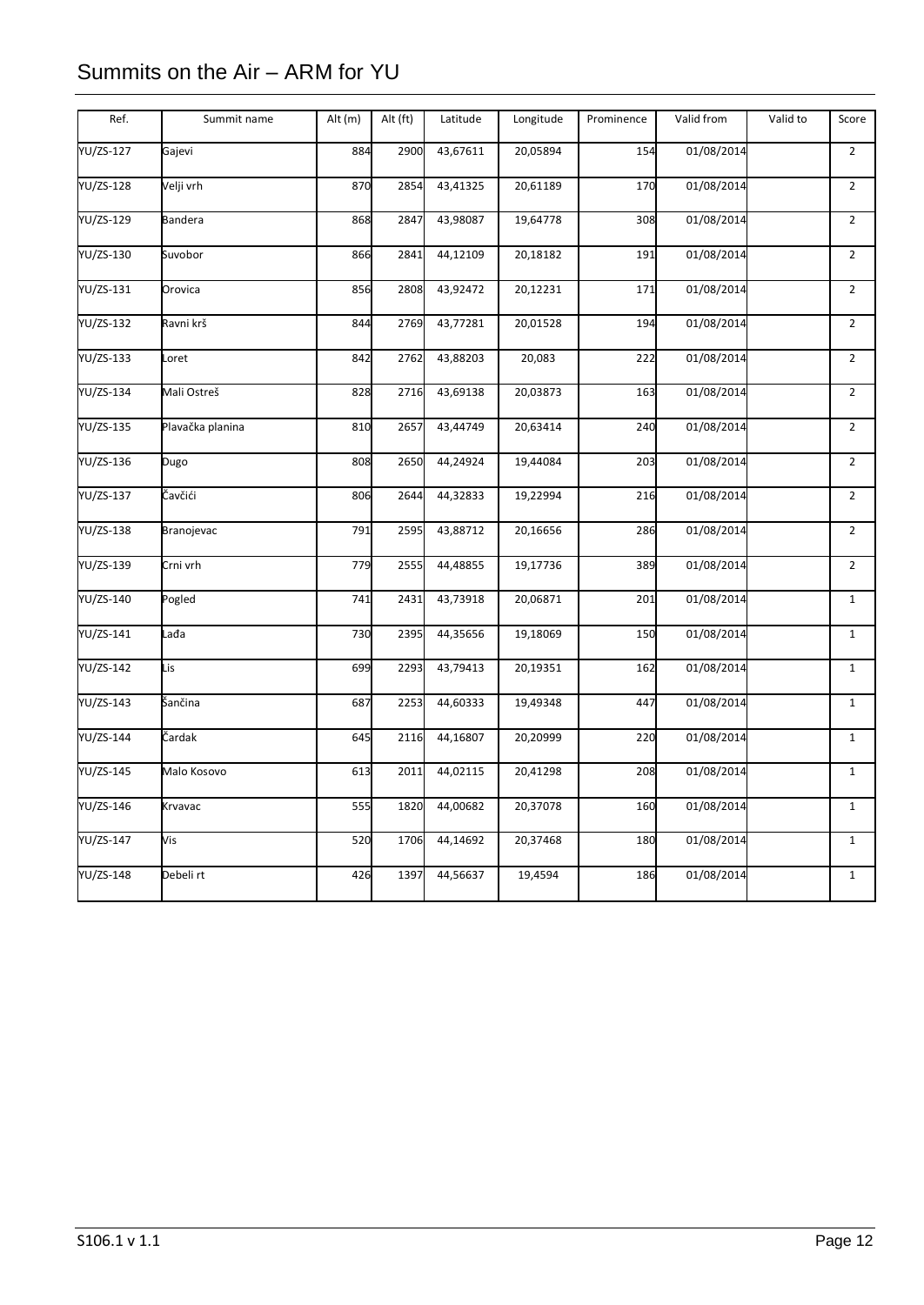| Ref.             | Summit name      | Alt (m) | Alt (ft) | Latitude | Longitude | Prominence | Valid from | Valid to | Score          |
|------------------|------------------|---------|----------|----------|-----------|------------|------------|----------|----------------|
| YU/ZS-127        | Gajevi           | 884     | 2900     | 43,67611 | 20,05894  | 154        | 01/08/2014 |          | $\overline{2}$ |
| YU/ZS-128        | Velji vrh        | 870     | 2854     | 43,41325 | 20,61189  | 170        | 01/08/2014 |          | $\overline{2}$ |
| YU/ZS-129        | <b>Bandera</b>   | 868     | 2847     | 43,98087 | 19,64778  | 308        | 01/08/2014 |          | $\overline{2}$ |
| YU/ZS-130        | Suvobor          | 866     | 2841     | 44,12109 | 20,18182  | 191        | 01/08/2014 |          | $\overline{2}$ |
| YU/ZS-131        | Orovica          | 856     | 2808     | 43,92472 | 20,12231  | 171        | 01/08/2014 |          | $\overline{2}$ |
| <b>YU/ZS-132</b> | Ravni krš        | 844     | 2769     | 43,77281 | 20,01528  | 194        | 01/08/2014 |          | $\overline{2}$ |
| YU/ZS-133        | Loret            | 842     | 2762     | 43,88203 | 20,083    | 222        | 01/08/2014 |          | $\overline{2}$ |
| YU/ZS-134        | Mali Ostreš      | 828     | 2716     | 43,69138 | 20,03873  | 163        | 01/08/2014 |          | $\overline{2}$ |
| YU/ZS-135        | Plavačka planina | 810     | 2657     | 43,44749 | 20,63414  | 240        | 01/08/2014 |          | $\overline{2}$ |
| <b>YU/ZS-136</b> | Dugo             | 808     | 2650     | 44,24924 | 19,44084  | 203        | 01/08/2014 |          | $\overline{2}$ |
| <b>YU/ZS-137</b> | Čavčići          | 806     | 2644     | 44,32833 | 19,22994  | 216        | 01/08/2014 |          | $\overline{2}$ |
| YU/ZS-138        | Branojevac       | 791     | 2595     | 43,88712 | 20,16656  | 286        | 01/08/2014 |          | $\overline{2}$ |
| YU/ZS-139        | Crni vrh         | 779     | 2555     | 44,48855 | 19,17736  | 389        | 01/08/2014 |          | $\overline{2}$ |
| YU/ZS-140        | Pogled           | 741     | 2431     | 43,73918 | 20,06871  | 201        | 01/08/2014 |          | $\mathbf 1$    |
| YU/ZS-141        | Lađa             | 730     | 2395     | 44,35656 | 19,18069  | 150        | 01/08/2014 |          | $\mathbf{1}$   |
| YU/ZS-142        | Lis              | 699     | 2293     | 43,79413 | 20,19351  | 162        | 01/08/2014 |          | $\mathbf 1$    |
| <b>YU/ZS-143</b> | Šančina          | 687     | 2253     | 44,60333 | 19,49348  | 447        | 01/08/2014 |          | $\mathbf{1}$   |
| YU/ZS-144        | Čardak           | 645     | 2116     | 44,16807 | 20,20999  | 220        | 01/08/2014 |          | $\mathbf{1}$   |
| YU/ZS-145        | Malo Kosovo      | 613     | 2011     | 44,02115 | 20,41298  | 208        | 01/08/2014 |          | $\mathbf{1}$   |
| YU/ZS-146        | Krvavac          | 555     | 1820     | 44,00682 | 20,37078  | 160        | 01/08/2014 |          | $\mathbf{1}$   |
| YU/ZS-147        | Vis              | 520     | 1706     | 44,14692 | 20,37468  | 180        | 01/08/2014 |          | $\mathbf{1}$   |
| YU/ZS-148        | Debeli rt        | 426     | 1397     | 44,56637 | 19,4594   | 186        | 01/08/2014 |          | $\mathbf 1$    |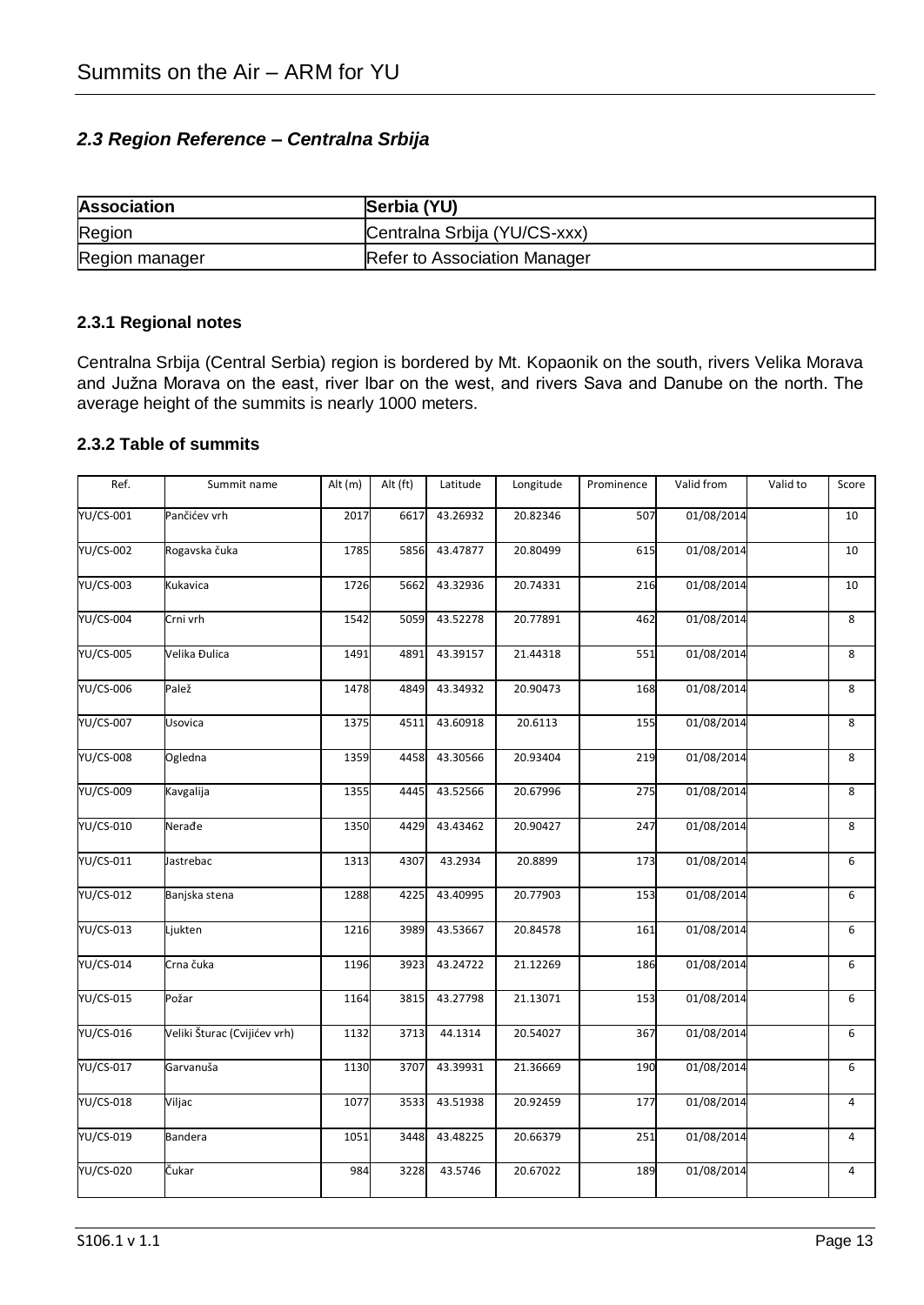### *2.3 Region Reference – Centralna Srbija*

| <b>Association</b> | Serbia (YU)                  |
|--------------------|------------------------------|
| Region             | Centralna Srbija (YU/CS-xxx) |
| Region manager     | Refer to Association Manager |

#### **2.3.1 Regional notes**

Centralna Srbija (Central Serbia) region is bordered by Mt. Kopaonik on the south, rivers Velika Morava and Južna Morava on the east, river Ibar on the west, and rivers Sava and Danube on the north. The average height of the summits is nearly 1000 meters.

### **2.3.2 Table of summits**

| Ref.             | Summit name                  | Alt (m) | Alt (ft) | Latitude | Longitude | Prominence | Valid from | Valid to | Score          |
|------------------|------------------------------|---------|----------|----------|-----------|------------|------------|----------|----------------|
| YU/CS-001        | Pančićev vrh                 | 2017    | 6617     | 43.26932 | 20.82346  | 507        | 01/08/2014 |          | 10             |
| YU/CS-002        | Rogavska čuka                | 1785    | 5856     | 43.47877 | 20.80499  | 615        | 01/08/2014 |          | 10             |
| YU/CS-003        | Kukavica                     | 1726    | 5662     | 43.32936 | 20.74331  | 216        | 01/08/2014 |          | 10             |
| <b>YU/CS-004</b> | Crni vrh                     | 1542    | 5059     | 43.52278 | 20.77891  | 462        | 01/08/2014 |          | 8              |
| <b>YU/CS-005</b> | Velika Đulica                | 1491    | 4891     | 43.39157 | 21.44318  | 551        | 01/08/2014 |          | 8              |
| YU/CS-006        | Palež                        | 1478    | 4849     | 43.34932 | 20.90473  | 168        | 01/08/2014 |          | 8              |
| YU/CS-007        | Usovica                      | 1375    | 4511     | 43.60918 | 20.6113   | 155        | 01/08/2014 |          | 8              |
| <b>YU/CS-008</b> | Ogledna                      | 1359    | 4458     | 43.30566 | 20.93404  | 219        | 01/08/2014 |          | 8              |
| <b>YU/CS-009</b> | Kavgalija                    | 1355    | 4445     | 43.52566 | 20.67996  | 275        | 01/08/2014 |          | 8              |
| YU/CS-010        | Nerađe                       | 1350    | 4429     | 43.43462 | 20.90427  | 247        | 01/08/2014 |          | 8              |
| YU/CS-011        | Jastrebac                    | 1313    | 4307     | 43.2934  | 20.8899   | 173        | 01/08/2014 |          | 6              |
| YU/CS-012        | Banjska stena                | 1288    | 4225     | 43.40995 | 20.77903  | 153        | 01/08/2014 |          | 6              |
| YU/CS-013        | Ljukten                      | 1216    | 3989     | 43.53667 | 20.84578  | 161        | 01/08/2014 |          | 6              |
| <b>YU/CS-014</b> | Crna čuka                    | 1196    | 3923     | 43.24722 | 21.12269  | 186        | 01/08/2014 |          | 6              |
| YU/CS-015        | Požar                        | 1164    | 3815     | 43.27798 | 21.13071  | 153        | 01/08/2014 |          | 6              |
| <b>YU/CS-016</b> | Veliki Šturac (Cvijićev vrh) | 1132    | 3713     | 44.1314  | 20.54027  | 367        | 01/08/2014 |          | 6              |
| YU/CS-017        | Garvanuša                    | 1130    | 3707     | 43.39931 | 21.36669  | 190        | 01/08/2014 |          | 6              |
| YU/CS-018        | Viljac                       | 1077    | 3533     | 43.51938 | 20.92459  | 177        | 01/08/2014 |          | 4              |
| <b>YU/CS-019</b> | <b>Bandera</b>               | 1051    | 3448     | 43.48225 | 20.66379  | 251        | 01/08/2014 |          | $\overline{4}$ |
| <b>YU/CS-020</b> | Čukar                        | 984     | 3228     | 43.5746  | 20.67022  | 189        | 01/08/2014 |          | 4              |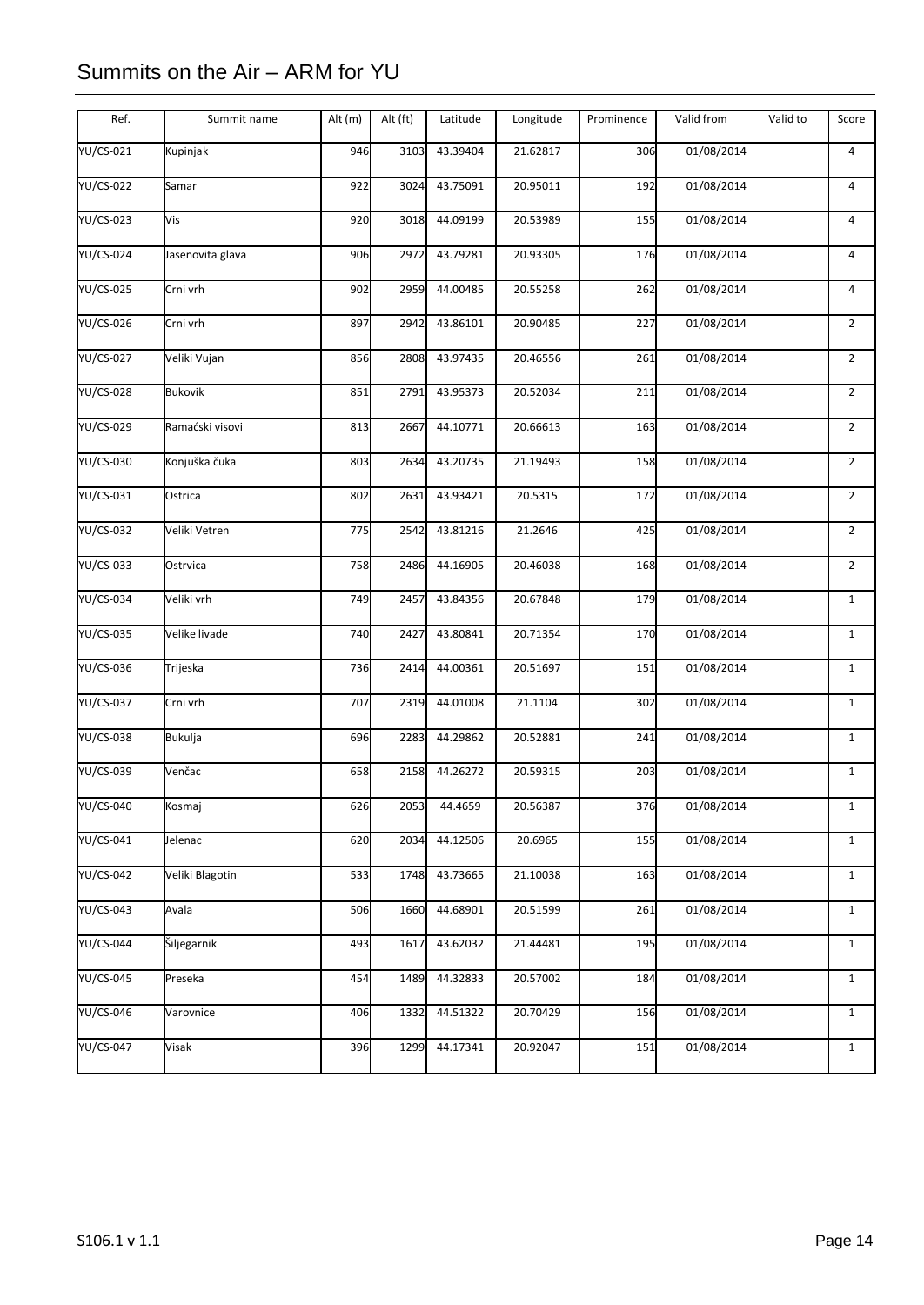| Ref.             | Summit name      | Alt (m) | Alt (ft) | Latitude | Longitude | Prominence | Valid from | Valid to | Score          |
|------------------|------------------|---------|----------|----------|-----------|------------|------------|----------|----------------|
| YU/CS-021        | Kupinjak         | 946     | 3103     | 43.39404 | 21.62817  | 306        | 01/08/2014 |          | $\overline{4}$ |
| YU/CS-022        | Samar            | 922     | 3024     | 43.75091 | 20.95011  | 192        | 01/08/2014 |          | $\overline{4}$ |
| YU/CS-023        | Vis              | 920     | 3018     | 44.09199 | 20.53989  | 155        | 01/08/2014 |          | 4              |
| <b>YU/CS-024</b> | Jasenovita glava | 906     | 2972     | 43.79281 | 20.93305  | 176        | 01/08/2014 |          | $\overline{4}$ |
| <b>YU/CS-025</b> | Crni vrh         | 902     | 2959     | 44.00485 | 20.55258  | 262        | 01/08/2014 |          | 4              |
| <b>YU/CS-026</b> | Crni vrh         | 897     | 2942     | 43.86101 | 20.90485  | 227        | 01/08/2014 |          | $\overline{2}$ |
| YU/CS-027        | Veliki Vujan     | 856     | 2808     | 43.97435 | 20.46556  | 261        | 01/08/2014 |          | $\overline{2}$ |
| <b>YU/CS-028</b> | <b>Bukovik</b>   | 851     | 2791     | 43.95373 | 20.52034  | 211        | 01/08/2014 |          | $\overline{2}$ |
| YU/CS-029        | Ramaćski visovi  | 813     | 2667     | 44.10771 | 20.66613  | 163        | 01/08/2014 |          | $\overline{2}$ |
| YU/CS-030        | Konjuška čuka    | 803     | 2634     | 43.20735 | 21.19493  | 158        | 01/08/2014 |          | $\overline{2}$ |
| YU/CS-031        | Ostrica          | 802     | 2631     | 43.93421 | 20.5315   | 172        | 01/08/2014 |          | $\overline{2}$ |
| <b>YU/CS-032</b> | Veliki Vetren    | 775     | 2542     | 43.81216 | 21.2646   | 425        | 01/08/2014 |          | $\overline{2}$ |
| <b>YU/CS-033</b> | Ostrvica         | 758     | 2486     | 44.16905 | 20.46038  | 168        | 01/08/2014 |          | $\overline{2}$ |
| YU/CS-034        | Veliki vrh       | 749     | 2457     | 43.84356 | 20.67848  | 179        | 01/08/2014 |          | $\mathbf{1}$   |
| <b>YU/CS-035</b> | Velike livade    | 740     | 2427     | 43.80841 | 20.71354  | 170        | 01/08/2014 |          | $\mathbf{1}$   |
| YU/CS-036        | Trijeska         | 736     | 2414     | 44.00361 | 20.51697  | 151        | 01/08/2014 |          | $\mathbf{1}$   |
| YU/CS-037        | Crni vrh         | 707     | 2319     | 44.01008 | 21.1104   | 302        | 01/08/2014 |          | $\mathbf{1}$   |
| YU/CS-038        | <b>Bukulja</b>   | 696     | 2283     | 44.29862 | 20.52881  | 241        | 01/08/2014 |          | $\mathbf{1}$   |
| YU/CS-039        | Venčac           | 658     | 2158     | 44.26272 | 20.59315  | 203        | 01/08/2014 |          | $\mathbf{1}$   |
| YU/CS-040        | Kosmaj           | 626     | 2053     | 44.4659  | 20.56387  | 376        | 01/08/2014 |          | $\mathbf{1}$   |
| <b>YU/CS-041</b> | Jelenac          | 620     | 2034     | 44.12506 | 20.6965   | 155        | 01/08/2014 |          | $\mathbf{1}$   |
| <b>YU/CS-042</b> | Veliki Blagotin  | 533     | 1748     | 43.73665 | 21.10038  | 163        | 01/08/2014 |          | $\mathbf{1}$   |
| YU/CS-043        | Avala            | 506     | 1660     | 44.68901 | 20.51599  | 261        | 01/08/2014 |          | $\mathbf{1}$   |
| YU/CS-044        | Šiljegarnik      | 493     | 1617     | 43.62032 | 21.44481  | 195        | 01/08/2014 |          | $\mathbf{1}$   |
| <b>YU/CS-045</b> | Preseka          | 454     | 1489     | 44.32833 | 20.57002  | 184        | 01/08/2014 |          | $\mathbf{1}$   |
| <b>YU/CS-046</b> | Varovnice        | 406     | 1332     | 44.51322 | 20.70429  | 156        | 01/08/2014 |          | $\mathbf{1}$   |
| <b>YU/CS-047</b> | Visak            | 396     | 1299     | 44.17341 | 20.92047  | 151        | 01/08/2014 |          | $\mathbf{1}$   |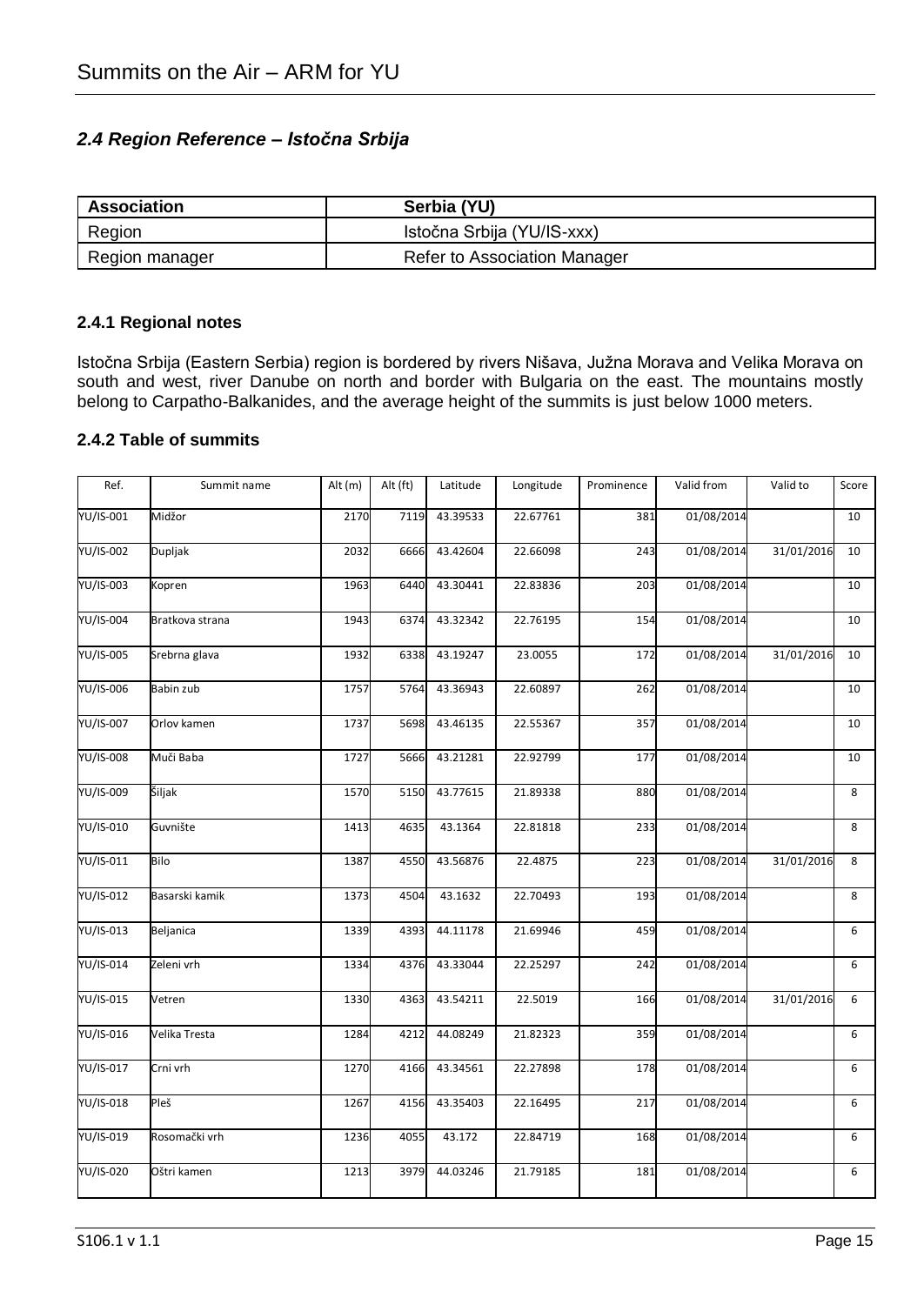### *2.4 Region Reference – Istočna Srbija*

| <b>Association</b> | Serbia (YU)                  |
|--------------------|------------------------------|
| Region             | Istočna Srbija (YU/IS-xxx)   |
| Region manager     | Refer to Association Manager |

#### **2.4.1 Regional notes**

Istočna Srbija (Eastern Serbia) region is bordered by rivers Nišava, Južna Morava and Velika Morava on south and west, river Danube on north and border with Bulgaria on the east. The mountains mostly belong to Carpatho-Balkanides, and the average height of the summits is just below 1000 meters.

#### **2.4.2 Table of summits**

| Ref.             | Summit name     | Alt (m) | Alt (ft) | Latitude | Longitude | Prominence | Valid from | Valid to   | Score |
|------------------|-----------------|---------|----------|----------|-----------|------------|------------|------------|-------|
| YU/IS-001        | Midžor          | 2170    | 7119     | 43.39533 | 22.67761  | 381        | 01/08/2014 |            | 10    |
| <b>YU/IS-002</b> | Dupljak         | 2032    | 6666     | 43.42604 | 22.66098  | 243        | 01/08/2014 | 31/01/2016 | 10    |
| YU/IS-003        | Kopren          | 1963    | 6440     | 43.30441 | 22.83836  | 203        | 01/08/2014 |            | 10    |
| YU/IS-004        | Bratkova strana | 1943    | 6374     | 43.32342 | 22.76195  | 154        | 01/08/2014 |            | 10    |
| <b>YU/IS-005</b> | Srebrna glava   | 1932    | 6338     | 43.19247 | 23.0055   | 172        | 01/08/2014 | 31/01/2016 | 10    |
| <b>YU/IS-006</b> | Babin zub       | 1757    | 5764     | 43.36943 | 22.60897  | 262        | 01/08/2014 |            | 10    |
| YU/IS-007        | Orlov kamen     | 1737    | 5698     | 43.46135 | 22.55367  | 357        | 01/08/2014 |            | 10    |
| YU/IS-008        | Muči Baba       | 1727    | 5666     | 43.21281 | 22.92799  | 177        | 01/08/2014 |            | 10    |
| <b>YU/IS-009</b> | Šiljak          | 1570    | 5150     | 43.77615 | 21.89338  | 880        | 01/08/2014 |            | 8     |
| YU/IS-010        | Guvnište        | 1413    | 4635     | 43.1364  | 22.81818  | 233        | 01/08/2014 |            | 8     |
| YU/IS-011        | Bilo            | 1387    | 4550     | 43.56876 | 22.4875   | 223        | 01/08/2014 | 31/01/2016 | 8     |
| YU/IS-012        | Basarski kamik  | 1373    | 4504     | 43.1632  | 22.70493  | 193        | 01/08/2014 |            | 8     |
| YU/IS-013        | Beljanica       | 1339    | 4393     | 44.11178 | 21.69946  | 459        | 01/08/2014 |            | 6     |
| YU/IS-014        | Zeleni vrh      | 1334    | 4376     | 43.33044 | 22.25297  | 242        | 01/08/2014 |            | 6     |
| YU/IS-015        | Vetren          | 1330    | 4363     | 43.54211 | 22.5019   | 166        | 01/08/2014 | 31/01/2016 | 6     |
| YU/IS-016        | Velika Tresta   | 1284    | 4212     | 44.08249 | 21.82323  | 359        | 01/08/2014 |            | 6     |
| YU/IS-017        | Crni vrh        | 1270    | 4166     | 43.34561 | 22.27898  | 178        | 01/08/2014 |            | 6     |
| YU/IS-018        | Pleš            | 1267    | 4156     | 43.35403 | 22.16495  | 217        | 01/08/2014 |            | 6     |
| YU/IS-019        | Rosomački vrh   | 1236    | 4055     | 43.172   | 22.84719  | 168        | 01/08/2014 |            | 6     |
| YU/IS-020        | Oštri kamen     | 1213    | 3979     | 44.03246 | 21.79185  | 181        | 01/08/2014 |            | 6     |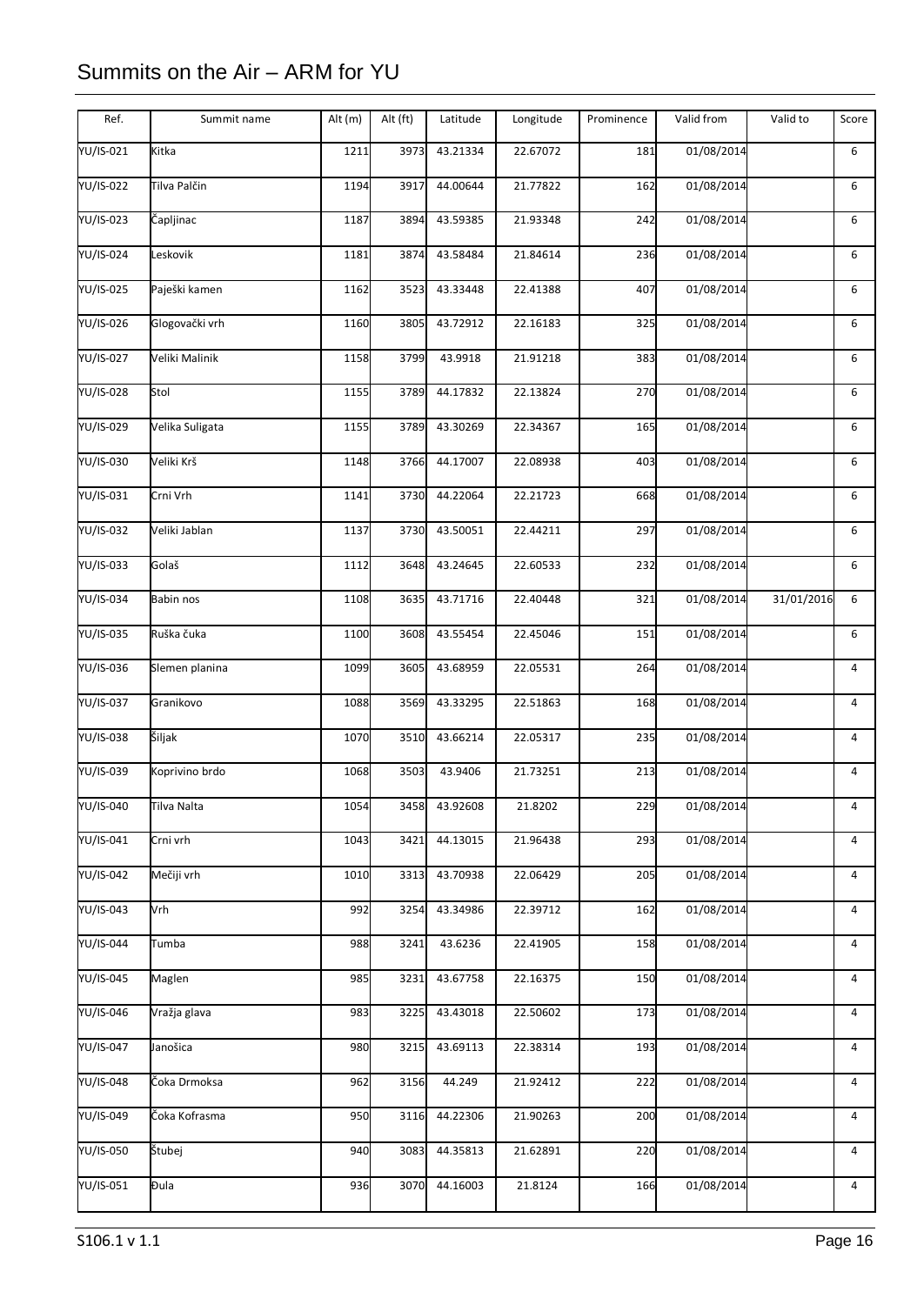| YU/IS-021<br>Kitka<br>1211<br>3973<br>43.21334<br>22.67072<br>181<br>01/08/2014<br>6<br>YU/IS-022<br>01/08/2014<br>Tilva Palčin<br>1194<br>3917<br>44.00644<br>21.77822<br>162<br>6<br>YU/IS-023<br>Čapljinac<br>43.59385<br>21.93348<br>242<br>01/08/2014<br>1187<br>3894<br>6<br>YU/IS-024<br>$\overline{01}/08/2014$<br>Leskovik<br>43.58484<br>21.84614<br>6<br>1181<br>3874<br>236<br>YU/IS-025<br>01/08/2014<br>6<br>Paješki kamen<br>3523<br>43.33448<br>22.41388<br>407<br>1162<br>YU/IS-026<br>Glogovački vrh<br>22.16183<br>01/08/2014<br>3805<br>43.72912<br>325<br>6<br>1160<br>YU/IS-027<br>Veliki Malinik<br>3799<br>43.9918<br>21.91218<br>383<br>01/08/2014<br>6<br>1158<br>Stol<br>YU/IS-028<br>44.17832<br>22.13824<br>270<br>01/08/2014<br>6<br>1155<br>3789<br>YU/IS-029<br>Velika Suligata<br>1155<br>43.30269<br>22.34367<br>165<br>01/08/2014<br>6<br>3789<br>YU/IS-030<br>44.17007<br>Veliki Krš<br>22.08938<br>01/08/2014<br>6<br>1148<br>3766<br>403<br>YU/IS-031<br>Crni Vrh<br>44.22064<br>22.21723<br>01/08/2014<br>3730<br>668<br>6<br>1141<br>YU/IS-032<br>Veliki Jablan<br>01/08/2014<br>1137<br>3730<br>43.50051<br>22.44211<br>297<br>6<br>YU/IS-033<br>Golaš<br>01/08/2014<br>1112<br>3648<br>43.24645<br>22.60533<br>232<br>6<br>YU/IS-034<br>43.71716<br>22.40448<br>321<br>01/08/2014<br>31/01/2016<br>6<br>Babin nos<br>1108<br>3635<br>YU/IS-035<br>01/08/2014<br>Ruška čuka<br>3608<br>43.55454<br>22.45046<br>151<br>6<br>1100<br>YU/IS-036<br>1099<br>43.68959<br>22.05531<br>264<br>01/08/2014<br>$\overline{4}$<br>Slemen planina<br>3605<br>YU/IS-037<br>43.33295<br>22.51863<br>168<br>01/08/2014<br>Granikovo<br>1088<br>3569<br>4<br>YU/IS-038<br>Šiljak<br>22.05317<br>01/08/2014<br>1070<br>3510<br>43.66214<br>235<br>$\overline{4}$<br>YU/IS-039<br>01/08/2014<br>Koprivino brdo<br>1068<br>3503<br>43.9406<br>21.73251<br>213<br>$\overline{4}$<br>YU/IS-040<br>Tilva Nalta<br>1054<br>3458<br>43.92608<br>21.8202<br>229<br>01/08/2014<br>4<br>YU/IS-041<br>44.13015<br>21.96438<br>293<br>01/08/2014<br>Crni vrh<br>1043<br>3421<br>4<br>YU/IS-042<br>01/08/2014<br>Mečiji vrh<br>43.70938<br>22.06429<br>$\overline{4}$<br>1010<br>3313<br>205<br>01/08/2014<br>YU/IS-043<br>Vrh<br>992<br>43.34986<br>22.39712<br>3254<br>162<br>4<br>YU/IS-044<br>43.6236<br>22.41905<br>01/08/2014<br>Tumba<br>988<br>3241<br>158<br>4<br>YU/IS-045<br>Maglen<br>985<br>3231<br>43.67758<br>22.16375<br>150<br>01/08/2014<br>4<br>YU/IS-046<br>43.43018<br>22.50602<br>01/08/2014<br>$\overline{4}$<br>Vražja glava<br>983<br>3225<br>173<br><b>YU/IS-047</b><br>43.69113<br>22.38314<br>01/08/2014<br>Janošica<br>980<br>3215<br>193<br>4 | Ref. | Summit name | Alt (m) | Alt (ft) | Latitude | Longitude | Prominence | Valid from | Valid to | Score          |
|----------------------------------------------------------------------------------------------------------------------------------------------------------------------------------------------------------------------------------------------------------------------------------------------------------------------------------------------------------------------------------------------------------------------------------------------------------------------------------------------------------------------------------------------------------------------------------------------------------------------------------------------------------------------------------------------------------------------------------------------------------------------------------------------------------------------------------------------------------------------------------------------------------------------------------------------------------------------------------------------------------------------------------------------------------------------------------------------------------------------------------------------------------------------------------------------------------------------------------------------------------------------------------------------------------------------------------------------------------------------------------------------------------------------------------------------------------------------------------------------------------------------------------------------------------------------------------------------------------------------------------------------------------------------------------------------------------------------------------------------------------------------------------------------------------------------------------------------------------------------------------------------------------------------------------------------------------------------------------------------------------------------------------------------------------------------------------------------------------------------------------------------------------------------------------------------------------------------------------------------------------------------------------------------------------------------------------------------------------------------------------------------------------------------------------------------------------------------------------------------------------------------------------------------------------------------------------------------------------------------------------------------------------------------------------------|------|-------------|---------|----------|----------|-----------|------------|------------|----------|----------------|
|                                                                                                                                                                                                                                                                                                                                                                                                                                                                                                                                                                                                                                                                                                                                                                                                                                                                                                                                                                                                                                                                                                                                                                                                                                                                                                                                                                                                                                                                                                                                                                                                                                                                                                                                                                                                                                                                                                                                                                                                                                                                                                                                                                                                                                                                                                                                                                                                                                                                                                                                                                                                                                                                                        |      |             |         |          |          |           |            |            |          |                |
|                                                                                                                                                                                                                                                                                                                                                                                                                                                                                                                                                                                                                                                                                                                                                                                                                                                                                                                                                                                                                                                                                                                                                                                                                                                                                                                                                                                                                                                                                                                                                                                                                                                                                                                                                                                                                                                                                                                                                                                                                                                                                                                                                                                                                                                                                                                                                                                                                                                                                                                                                                                                                                                                                        |      |             |         |          |          |           |            |            |          |                |
|                                                                                                                                                                                                                                                                                                                                                                                                                                                                                                                                                                                                                                                                                                                                                                                                                                                                                                                                                                                                                                                                                                                                                                                                                                                                                                                                                                                                                                                                                                                                                                                                                                                                                                                                                                                                                                                                                                                                                                                                                                                                                                                                                                                                                                                                                                                                                                                                                                                                                                                                                                                                                                                                                        |      |             |         |          |          |           |            |            |          |                |
|                                                                                                                                                                                                                                                                                                                                                                                                                                                                                                                                                                                                                                                                                                                                                                                                                                                                                                                                                                                                                                                                                                                                                                                                                                                                                                                                                                                                                                                                                                                                                                                                                                                                                                                                                                                                                                                                                                                                                                                                                                                                                                                                                                                                                                                                                                                                                                                                                                                                                                                                                                                                                                                                                        |      |             |         |          |          |           |            |            |          |                |
|                                                                                                                                                                                                                                                                                                                                                                                                                                                                                                                                                                                                                                                                                                                                                                                                                                                                                                                                                                                                                                                                                                                                                                                                                                                                                                                                                                                                                                                                                                                                                                                                                                                                                                                                                                                                                                                                                                                                                                                                                                                                                                                                                                                                                                                                                                                                                                                                                                                                                                                                                                                                                                                                                        |      |             |         |          |          |           |            |            |          |                |
|                                                                                                                                                                                                                                                                                                                                                                                                                                                                                                                                                                                                                                                                                                                                                                                                                                                                                                                                                                                                                                                                                                                                                                                                                                                                                                                                                                                                                                                                                                                                                                                                                                                                                                                                                                                                                                                                                                                                                                                                                                                                                                                                                                                                                                                                                                                                                                                                                                                                                                                                                                                                                                                                                        |      |             |         |          |          |           |            |            |          |                |
|                                                                                                                                                                                                                                                                                                                                                                                                                                                                                                                                                                                                                                                                                                                                                                                                                                                                                                                                                                                                                                                                                                                                                                                                                                                                                                                                                                                                                                                                                                                                                                                                                                                                                                                                                                                                                                                                                                                                                                                                                                                                                                                                                                                                                                                                                                                                                                                                                                                                                                                                                                                                                                                                                        |      |             |         |          |          |           |            |            |          |                |
|                                                                                                                                                                                                                                                                                                                                                                                                                                                                                                                                                                                                                                                                                                                                                                                                                                                                                                                                                                                                                                                                                                                                                                                                                                                                                                                                                                                                                                                                                                                                                                                                                                                                                                                                                                                                                                                                                                                                                                                                                                                                                                                                                                                                                                                                                                                                                                                                                                                                                                                                                                                                                                                                                        |      |             |         |          |          |           |            |            |          |                |
|                                                                                                                                                                                                                                                                                                                                                                                                                                                                                                                                                                                                                                                                                                                                                                                                                                                                                                                                                                                                                                                                                                                                                                                                                                                                                                                                                                                                                                                                                                                                                                                                                                                                                                                                                                                                                                                                                                                                                                                                                                                                                                                                                                                                                                                                                                                                                                                                                                                                                                                                                                                                                                                                                        |      |             |         |          |          |           |            |            |          |                |
|                                                                                                                                                                                                                                                                                                                                                                                                                                                                                                                                                                                                                                                                                                                                                                                                                                                                                                                                                                                                                                                                                                                                                                                                                                                                                                                                                                                                                                                                                                                                                                                                                                                                                                                                                                                                                                                                                                                                                                                                                                                                                                                                                                                                                                                                                                                                                                                                                                                                                                                                                                                                                                                                                        |      |             |         |          |          |           |            |            |          |                |
|                                                                                                                                                                                                                                                                                                                                                                                                                                                                                                                                                                                                                                                                                                                                                                                                                                                                                                                                                                                                                                                                                                                                                                                                                                                                                                                                                                                                                                                                                                                                                                                                                                                                                                                                                                                                                                                                                                                                                                                                                                                                                                                                                                                                                                                                                                                                                                                                                                                                                                                                                                                                                                                                                        |      |             |         |          |          |           |            |            |          |                |
|                                                                                                                                                                                                                                                                                                                                                                                                                                                                                                                                                                                                                                                                                                                                                                                                                                                                                                                                                                                                                                                                                                                                                                                                                                                                                                                                                                                                                                                                                                                                                                                                                                                                                                                                                                                                                                                                                                                                                                                                                                                                                                                                                                                                                                                                                                                                                                                                                                                                                                                                                                                                                                                                                        |      |             |         |          |          |           |            |            |          |                |
|                                                                                                                                                                                                                                                                                                                                                                                                                                                                                                                                                                                                                                                                                                                                                                                                                                                                                                                                                                                                                                                                                                                                                                                                                                                                                                                                                                                                                                                                                                                                                                                                                                                                                                                                                                                                                                                                                                                                                                                                                                                                                                                                                                                                                                                                                                                                                                                                                                                                                                                                                                                                                                                                                        |      |             |         |          |          |           |            |            |          |                |
|                                                                                                                                                                                                                                                                                                                                                                                                                                                                                                                                                                                                                                                                                                                                                                                                                                                                                                                                                                                                                                                                                                                                                                                                                                                                                                                                                                                                                                                                                                                                                                                                                                                                                                                                                                                                                                                                                                                                                                                                                                                                                                                                                                                                                                                                                                                                                                                                                                                                                                                                                                                                                                                                                        |      |             |         |          |          |           |            |            |          |                |
|                                                                                                                                                                                                                                                                                                                                                                                                                                                                                                                                                                                                                                                                                                                                                                                                                                                                                                                                                                                                                                                                                                                                                                                                                                                                                                                                                                                                                                                                                                                                                                                                                                                                                                                                                                                                                                                                                                                                                                                                                                                                                                                                                                                                                                                                                                                                                                                                                                                                                                                                                                                                                                                                                        |      |             |         |          |          |           |            |            |          |                |
|                                                                                                                                                                                                                                                                                                                                                                                                                                                                                                                                                                                                                                                                                                                                                                                                                                                                                                                                                                                                                                                                                                                                                                                                                                                                                                                                                                                                                                                                                                                                                                                                                                                                                                                                                                                                                                                                                                                                                                                                                                                                                                                                                                                                                                                                                                                                                                                                                                                                                                                                                                                                                                                                                        |      |             |         |          |          |           |            |            |          |                |
|                                                                                                                                                                                                                                                                                                                                                                                                                                                                                                                                                                                                                                                                                                                                                                                                                                                                                                                                                                                                                                                                                                                                                                                                                                                                                                                                                                                                                                                                                                                                                                                                                                                                                                                                                                                                                                                                                                                                                                                                                                                                                                                                                                                                                                                                                                                                                                                                                                                                                                                                                                                                                                                                                        |      |             |         |          |          |           |            |            |          |                |
|                                                                                                                                                                                                                                                                                                                                                                                                                                                                                                                                                                                                                                                                                                                                                                                                                                                                                                                                                                                                                                                                                                                                                                                                                                                                                                                                                                                                                                                                                                                                                                                                                                                                                                                                                                                                                                                                                                                                                                                                                                                                                                                                                                                                                                                                                                                                                                                                                                                                                                                                                                                                                                                                                        |      |             |         |          |          |           |            |            |          |                |
|                                                                                                                                                                                                                                                                                                                                                                                                                                                                                                                                                                                                                                                                                                                                                                                                                                                                                                                                                                                                                                                                                                                                                                                                                                                                                                                                                                                                                                                                                                                                                                                                                                                                                                                                                                                                                                                                                                                                                                                                                                                                                                                                                                                                                                                                                                                                                                                                                                                                                                                                                                                                                                                                                        |      |             |         |          |          |           |            |            |          |                |
|                                                                                                                                                                                                                                                                                                                                                                                                                                                                                                                                                                                                                                                                                                                                                                                                                                                                                                                                                                                                                                                                                                                                                                                                                                                                                                                                                                                                                                                                                                                                                                                                                                                                                                                                                                                                                                                                                                                                                                                                                                                                                                                                                                                                                                                                                                                                                                                                                                                                                                                                                                                                                                                                                        |      |             |         |          |          |           |            |            |          |                |
|                                                                                                                                                                                                                                                                                                                                                                                                                                                                                                                                                                                                                                                                                                                                                                                                                                                                                                                                                                                                                                                                                                                                                                                                                                                                                                                                                                                                                                                                                                                                                                                                                                                                                                                                                                                                                                                                                                                                                                                                                                                                                                                                                                                                                                                                                                                                                                                                                                                                                                                                                                                                                                                                                        |      |             |         |          |          |           |            |            |          |                |
|                                                                                                                                                                                                                                                                                                                                                                                                                                                                                                                                                                                                                                                                                                                                                                                                                                                                                                                                                                                                                                                                                                                                                                                                                                                                                                                                                                                                                                                                                                                                                                                                                                                                                                                                                                                                                                                                                                                                                                                                                                                                                                                                                                                                                                                                                                                                                                                                                                                                                                                                                                                                                                                                                        |      |             |         |          |          |           |            |            |          |                |
|                                                                                                                                                                                                                                                                                                                                                                                                                                                                                                                                                                                                                                                                                                                                                                                                                                                                                                                                                                                                                                                                                                                                                                                                                                                                                                                                                                                                                                                                                                                                                                                                                                                                                                                                                                                                                                                                                                                                                                                                                                                                                                                                                                                                                                                                                                                                                                                                                                                                                                                                                                                                                                                                                        |      |             |         |          |          |           |            |            |          |                |
|                                                                                                                                                                                                                                                                                                                                                                                                                                                                                                                                                                                                                                                                                                                                                                                                                                                                                                                                                                                                                                                                                                                                                                                                                                                                                                                                                                                                                                                                                                                                                                                                                                                                                                                                                                                                                                                                                                                                                                                                                                                                                                                                                                                                                                                                                                                                                                                                                                                                                                                                                                                                                                                                                        |      |             |         |          |          |           |            |            |          |                |
|                                                                                                                                                                                                                                                                                                                                                                                                                                                                                                                                                                                                                                                                                                                                                                                                                                                                                                                                                                                                                                                                                                                                                                                                                                                                                                                                                                                                                                                                                                                                                                                                                                                                                                                                                                                                                                                                                                                                                                                                                                                                                                                                                                                                                                                                                                                                                                                                                                                                                                                                                                                                                                                                                        |      |             |         |          |          |           |            |            |          |                |
|                                                                                                                                                                                                                                                                                                                                                                                                                                                                                                                                                                                                                                                                                                                                                                                                                                                                                                                                                                                                                                                                                                                                                                                                                                                                                                                                                                                                                                                                                                                                                                                                                                                                                                                                                                                                                                                                                                                                                                                                                                                                                                                                                                                                                                                                                                                                                                                                                                                                                                                                                                                                                                                                                        |      |             |         |          |          |           |            |            |          |                |
|                                                                                                                                                                                                                                                                                                                                                                                                                                                                                                                                                                                                                                                                                                                                                                                                                                                                                                                                                                                                                                                                                                                                                                                                                                                                                                                                                                                                                                                                                                                                                                                                                                                                                                                                                                                                                                                                                                                                                                                                                                                                                                                                                                                                                                                                                                                                                                                                                                                                                                                                                                                                                                                                                        |      |             |         |          |          |           |            |            |          |                |
| YU/IS-048<br>Čoka Drmoksa<br>21.92412<br>01/08/2014<br>962<br>3156<br>44.249<br>222<br>4                                                                                                                                                                                                                                                                                                                                                                                                                                                                                                                                                                                                                                                                                                                                                                                                                                                                                                                                                                                                                                                                                                                                                                                                                                                                                                                                                                                                                                                                                                                                                                                                                                                                                                                                                                                                                                                                                                                                                                                                                                                                                                                                                                                                                                                                                                                                                                                                                                                                                                                                                                                               |      |             |         |          |          |           |            |            |          |                |
| YU/IS-049<br>01/08/2014<br>Čoka Kofrasma<br>950<br>44.22306<br>21.90263<br>200<br>$\overline{4}$<br>3116                                                                                                                                                                                                                                                                                                                                                                                                                                                                                                                                                                                                                                                                                                                                                                                                                                                                                                                                                                                                                                                                                                                                                                                                                                                                                                                                                                                                                                                                                                                                                                                                                                                                                                                                                                                                                                                                                                                                                                                                                                                                                                                                                                                                                                                                                                                                                                                                                                                                                                                                                                               |      |             |         |          |          |           |            |            |          |                |
| YU/IS-050<br>Štubej<br>01/08/2014<br>940<br>44.35813<br>21.62891<br>220<br>$\overline{4}$<br>3083                                                                                                                                                                                                                                                                                                                                                                                                                                                                                                                                                                                                                                                                                                                                                                                                                                                                                                                                                                                                                                                                                                                                                                                                                                                                                                                                                                                                                                                                                                                                                                                                                                                                                                                                                                                                                                                                                                                                                                                                                                                                                                                                                                                                                                                                                                                                                                                                                                                                                                                                                                                      |      |             |         |          |          |           |            |            |          |                |
| YU/IS-051<br>Đula<br>3070<br>44.16003<br>21.8124<br>01/08/2014<br>936<br>166                                                                                                                                                                                                                                                                                                                                                                                                                                                                                                                                                                                                                                                                                                                                                                                                                                                                                                                                                                                                                                                                                                                                                                                                                                                                                                                                                                                                                                                                                                                                                                                                                                                                                                                                                                                                                                                                                                                                                                                                                                                                                                                                                                                                                                                                                                                                                                                                                                                                                                                                                                                                           |      |             |         |          |          |           |            |            |          | $\overline{4}$ |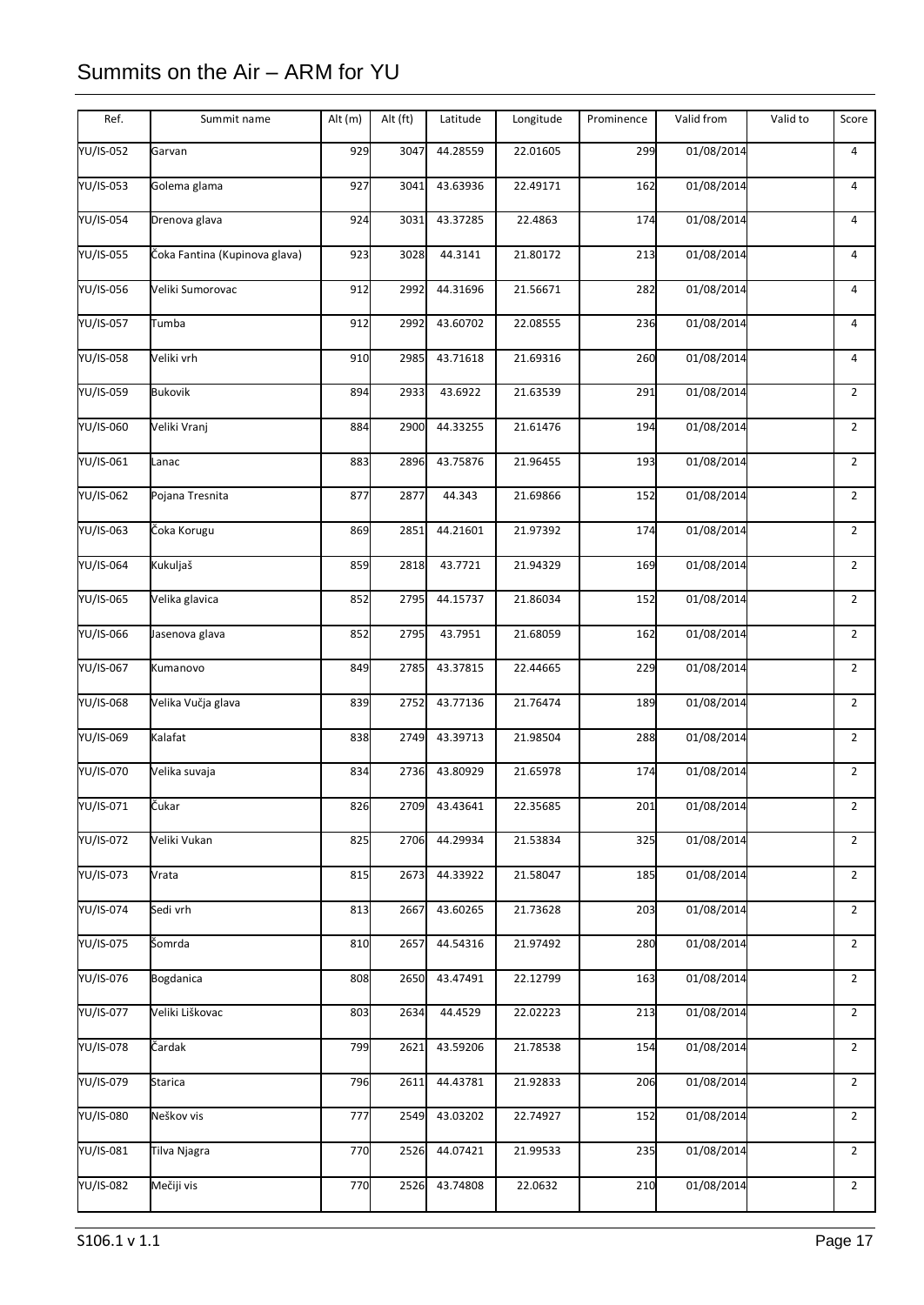| Ref.      | Summit name                   | Alt (m) | Alt (ft) | Latitude | Longitude | Prominence | Valid from | Valid to | Score          |
|-----------|-------------------------------|---------|----------|----------|-----------|------------|------------|----------|----------------|
| YU/IS-052 | Garvan                        | 929     | 3047     | 44.28559 | 22.01605  | 299        | 01/08/2014 |          | $\overline{4}$ |
| YU/IS-053 | Golema glama                  | 927     | 3041     | 43.63936 | 22.49171  | 162        | 01/08/2014 |          | $\overline{4}$ |
| YU/IS-054 | Drenova glava                 | 924     | 3031     | 43.37285 | 22.4863   | 174        | 01/08/2014 |          | 4              |
| YU/IS-055 | Čoka Fantina (Kupinova glava) | 923     | 3028     | 44.3141  | 21.80172  | 213        | 01/08/2014 |          | $\overline{4}$ |
| YU/IS-056 | Veliki Sumorovac              | 912     | 2992     | 44.31696 | 21.56671  | 282        | 01/08/2014 |          | $\overline{4}$ |
| YU/IS-057 | Tumba                         | 912     | 2992     | 43.60702 | 22.08555  | 236        | 01/08/2014 |          | $\overline{4}$ |
| YU/IS-058 | Veliki vrh                    | 910     | 2985     | 43.71618 | 21.69316  | 260        | 01/08/2014 |          | $\overline{4}$ |
| YU/IS-059 | <b>Bukovik</b>                | 894     | 2933     | 43.6922  | 21.63539  | 291        | 01/08/2014 |          | $\overline{2}$ |
| YU/IS-060 | Veliki Vranj                  | 884     | 2900     | 44.33255 | 21.61476  | 194        | 01/08/2014 |          | $\overline{2}$ |
| YU/IS-061 | Lanac                         | 883     | 2896     | 43.75876 | 21.96455  | 193        | 01/08/2014 |          | $\overline{2}$ |
| YU/IS-062 | Pojana Tresnita               | 877     | 2877     | 44.343   | 21.69866  | 152        | 01/08/2014 |          | $\overline{2}$ |
| YU/IS-063 | Čoka Korugu                   | 869     | 2851     | 44.21601 | 21.97392  | 174        | 01/08/2014 |          | $\overline{2}$ |
| YU/IS-064 | Kukuljaš                      | 859     | 2818     | 43.7721  | 21.94329  | 169        | 01/08/2014 |          | $\overline{2}$ |
| YU/IS-065 | Velika glavica                | 852     | 2795     | 44.15737 | 21.86034  | 152        | 01/08/2014 |          | $\overline{2}$ |
| YU/IS-066 | Jasenova glava                | 852     | 2795     | 43.7951  | 21.68059  | 162        | 01/08/2014 |          | $\overline{2}$ |
| YU/IS-067 | Kumanovo                      | 849     | 2785     | 43.37815 | 22.44665  | 229        | 01/08/2014 |          | $\overline{2}$ |
| YU/IS-068 | Velika Vučja glava            | 839     | 2752     | 43.77136 | 21.76474  | 189        | 01/08/2014 |          | $\overline{2}$ |
| YU/IS-069 | Kalafat                       | 838     | 2749     | 43.39713 | 21.98504  | 288        | 01/08/2014 |          | $\overline{2}$ |
| YU/IS-070 | Velika suvaja                 | 834     | 2736     | 43.80929 | 21.65978  | 174        | 01/08/2014 |          | $\overline{2}$ |
| YU/IS-071 | Cukar                         | 826     | 2709     | 43.43641 | 22.35685  | 201        | 01/08/2014 |          | 2              |
| YU/IS-072 | Veliki Vukan                  | 825     | 2706     | 44.29934 | 21.53834  | 325        | 01/08/2014 |          | $\overline{2}$ |
| YU/IS-073 | Vrata                         | 815     | 2673     | 44.33922 | 21.58047  | 185        | 01/08/2014 |          | $\overline{2}$ |
| YU/IS-074 | Sedi vrh                      | 813     | 2667     | 43.60265 | 21.73628  | 203        | 01/08/2014 |          | $\overline{2}$ |
| YU/IS-075 | Šomrda                        | 810     | 2657     | 44.54316 | 21.97492  | 280        | 01/08/2014 |          | $\overline{2}$ |
| YU/IS-076 | <b>Bogdanica</b>              | 808     | 2650     | 43.47491 | 22.12799  | 163        | 01/08/2014 |          | $\overline{2}$ |
| YU/IS-077 | Veliki Liškovac               | 803     | 2634     | 44.4529  | 22.02223  | 213        | 01/08/2014 |          | $\overline{2}$ |
| YU/IS-078 | Čardak                        | 799     | 2621     | 43.59206 | 21.78538  | 154        | 01/08/2014 |          | $\overline{2}$ |
| YU/IS-079 | Starica                       | 796     | 2611     | 44.43781 | 21.92833  | 206        | 01/08/2014 |          | $\overline{2}$ |
| YU/IS-080 | Neškov vis                    | 777     | 2549     | 43.03202 | 22.74927  | 152        | 01/08/2014 |          | $\overline{2}$ |
| YU/IS-081 | Tilva Njagra                  | 770     | 2526     | 44.07421 | 21.99533  | 235        | 01/08/2014 |          | $2^{\circ}$    |
| YU/IS-082 | Mečiji vis                    | 770     | 2526     | 43.74808 | 22.0632   | 210        | 01/08/2014 |          | $\overline{2}$ |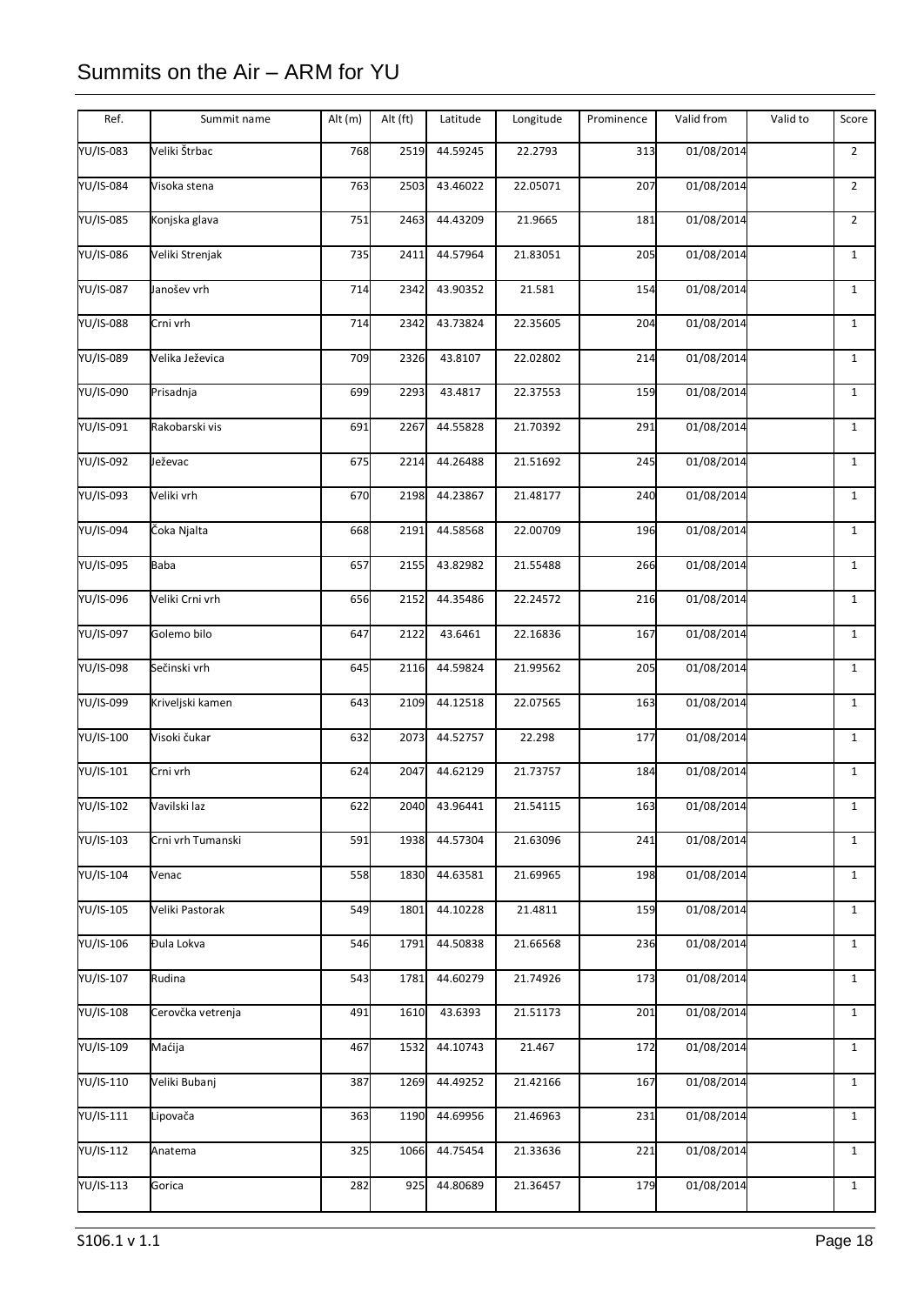| Ref.             | Summit name       | Alt (m) | Alt (ft) | Latitude | Longitude | Prominence | Valid from | Valid to | Score          |
|------------------|-------------------|---------|----------|----------|-----------|------------|------------|----------|----------------|
| YU/IS-083        | Veliki Štrbac     | 768     | 2519     | 44.59245 | 22.2793   | 313        | 01/08/2014 |          | $\overline{2}$ |
| YU/IS-084        | Visoka stena      | 763     | 2503     | 43.46022 | 22.05071  | 207        | 01/08/2014 |          | $\overline{2}$ |
| YU/IS-085        | Konjska glava     | 751     | 2463     | 44.43209 | 21.9665   | 181        | 01/08/2014 |          | $\overline{2}$ |
| YU/IS-086        | Veliki Strenjak   | 735     | 2411     | 44.57964 | 21.83051  | 205        | 01/08/2014 |          | $\mathbf{1}$   |
| YU/IS-087        | Janošev vrh       | 714     | 2342     | 43.90352 | 21.581    | 154        | 01/08/2014 |          | $\mathbf{1}$   |
| <b>YU/IS-088</b> | Crni vrh          | 714     | 2342     | 43.73824 | 22.35605  | 204        | 01/08/2014 |          | $\mathbf{1}$   |
| YU/IS-089        | Velika Ježevica   | 709     | 2326     | 43.8107  | 22.02802  | 214        | 01/08/2014 |          | $\mathbf{1}$   |
| YU/IS-090        | Prisadnja         | 699     | 2293     | 43.4817  | 22.37553  | 159        | 01/08/2014 |          | $\mathbf{1}$   |
| YU/IS-091        | Rakobarski vis    | 691     | 2267     | 44.55828 | 21.70392  | 291        | 01/08/2014 |          | $\mathbf{1}$   |
| YU/IS-092        | Ježevac           | 675     | 2214     | 44.26488 | 21.51692  | 245        | 01/08/2014 |          | $\mathbf{1}$   |
| YU/IS-093        | Veliki vrh        | 670     | 2198     | 44.23867 | 21.48177  | 240        | 01/08/2014 |          | $\mathbf 1$    |
| YU/IS-094        | Čoka Njalta       | 668     | 2191     | 44.58568 | 22.00709  | 196        | 01/08/2014 |          | $\mathbf{1}$   |
| YU/IS-095        | <b>Baba</b>       | 657     | 2155     | 43.82982 | 21.55488  | 266        | 01/08/2014 |          | $\mathbf{1}$   |
| YU/IS-096        | Veliki Crni vrh   | 656     | 2152     | 44.35486 | 22.24572  | 216        | 01/08/2014 |          | $\mathbf{1}$   |
| YU/IS-097        | Golemo bilo       | 647     | 2122     | 43.6461  | 22.16836  | 167        | 01/08/2014 |          | $\mathbf{1}$   |
| YU/IS-098        | Sečinski vrh      | 645     | 2116     | 44.59824 | 21.99562  | 205        | 01/08/2014 |          | $\mathbf{1}$   |
| YU/IS-099        | Kriveljski kamen  | 643     | 2109     | 44.12518 | 22.07565  | 163        | 01/08/2014 |          | $\mathbf{1}$   |
| YU/IS-100        | Visoki čukar      | 632     | 2073     | 44.52757 | 22.298    | 177        | 01/08/2014 |          | $\mathbf{1}$   |
| YU/IS-101        | Crni vrh          | 624     | 2047     | 44.62129 | 21.73757  | 184        | 01/08/2014 |          | $\mathbf{1}$   |
| YU/IS-102        | Vavilski laz      | 622     | 2040     | 43.96441 | 21.54115  | 163        | 01/08/2014 |          | $\mathbf{1}$   |
| YU/IS-103        | Crni vrh Tumanski | 591     | 1938     | 44.57304 | 21.63096  | 241        | 01/08/2014 |          | $\mathbf{1}$   |
| YU/IS-104        | Venac             | 558     | 1830     | 44.63581 | 21.69965  | 198        | 01/08/2014 |          | $\mathbf{1}$   |
| YU/IS-105        | Veliki Pastorak   | 549     | 1801     | 44.10228 | 21.4811   | 159        | 01/08/2014 |          | $\mathbf{1}$   |
| YU/IS-106        | Đula Lokva        | 546     | 1791     | 44.50838 | 21.66568  | 236        | 01/08/2014 |          | $\mathbf{1}$   |
| YU/IS-107        | Rudina            | 543     | 1781     | 44.60279 | 21.74926  | 173        | 01/08/2014 |          | $\mathbf{1}$   |
| YU/IS-108        | Cerovčka vetrenja | 491     | 1610     | 43.6393  | 21.51173  | 201        | 01/08/2014 |          | $\mathbf{1}$   |
| YU/IS-109        | Maćija            | 467     | 1532     | 44.10743 | 21.467    | 172        | 01/08/2014 |          | $\mathbf{1}$   |
| YU/IS-110        | Veliki Bubanj     | 387     | 1269     | 44.49252 | 21.42166  | 167        | 01/08/2014 |          | $\mathbf{1}$   |
| YU/IS-111        | Lipovača          | 363     | 1190     | 44.69956 | 21.46963  | 231        | 01/08/2014 |          | $\mathbf{1}$   |
| YU/IS-112        | Anatema           | 325     | 1066     | 44.75454 | 21.33636  | 221        | 01/08/2014 |          | $\mathbf{1}$   |
| YU/IS-113        | Gorica            | 282     | 925      | 44.80689 | 21.36457  | 179        | 01/08/2014 |          | $\mathbf{1}$   |
|                  |                   |         |          |          |           |            |            |          |                |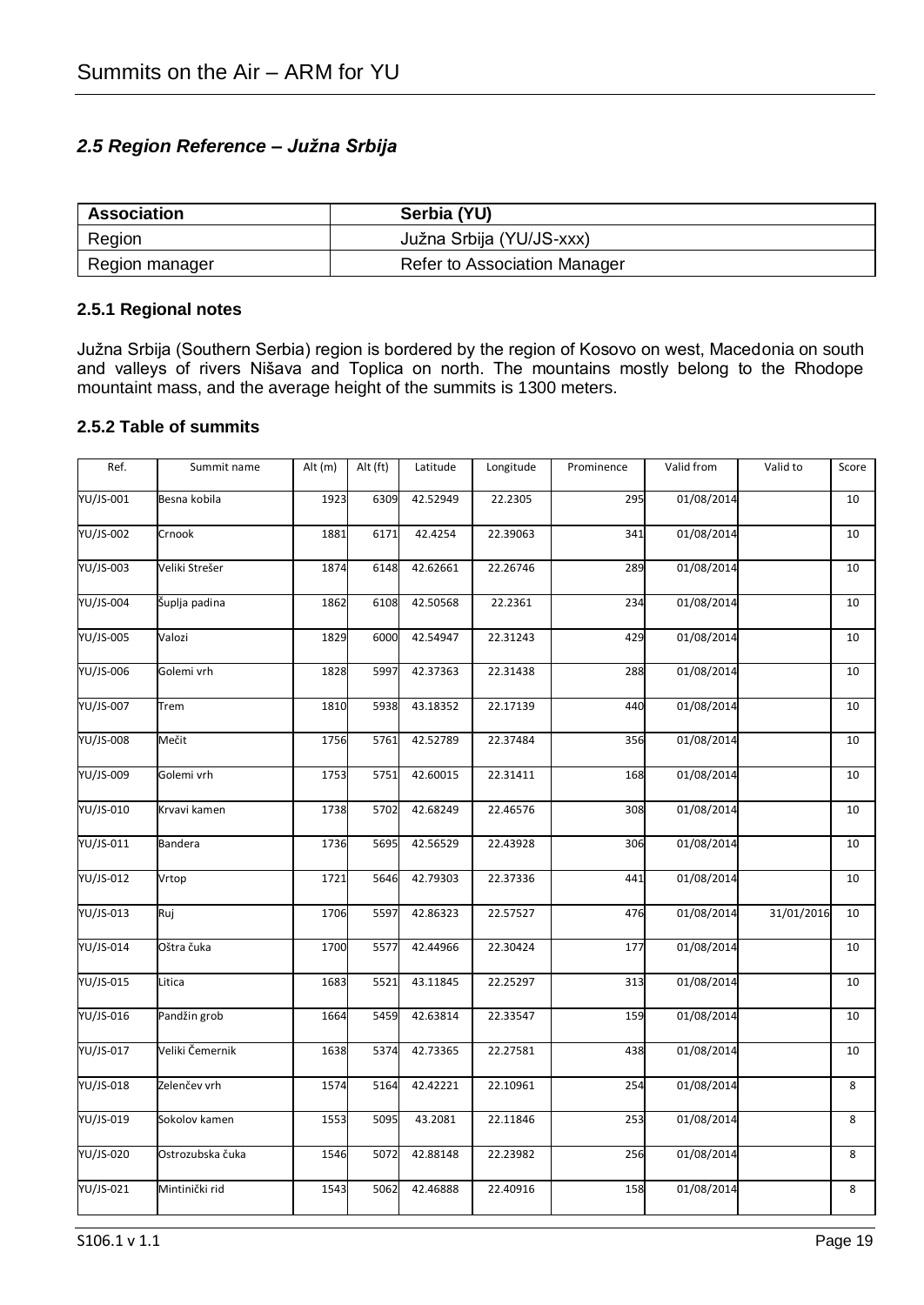### *2.5 Region Reference – Južna Srbija*

| Association    | Serbia (YU)                  |
|----------------|------------------------------|
| Region         | Južna Srbija (YU/JS-xxx)     |
| Region manager | Refer to Association Manager |

#### **2.5.1 Regional notes**

Južna Srbija (Southern Serbia) region is bordered by the region of Kosovo on west, Macedonia on south and valleys of rivers Nišava and Toplica on north. The mountains mostly belong to the Rhodope mountaint mass, and the average height of the summits is 1300 meters.

#### **2.5.2 Table of summits**

| Ref.      | Summit name      | Alt $(m)$ | Alt (ft) | Latitude | Longitude | Prominence | Valid from              | Valid to   | Score |
|-----------|------------------|-----------|----------|----------|-----------|------------|-------------------------|------------|-------|
| YU/JS-001 | Besna kobila     | 1923      | 6309     | 42.52949 | 22.2305   | 295        | 01/08/2014              |            | 10    |
| YU/JS-002 | Crnook           | 1881      | 6171     | 42.4254  | 22.39063  | 341        | 01/08/2014              |            | 10    |
| YU/JS-003 | Veliki Strešer   | 1874      | 6148     | 42.62661 | 22.26746  | 289        | 01/08/2014              |            | 10    |
| YU/JS-004 | Šuplja padina    | 1862      | 6108     | 42.50568 | 22.2361   | 234        | 01/08/2014              |            | 10    |
| YU/JS-005 | Valozi           | 1829      | 6000     | 42.54947 | 22.31243  | 429        | 01/08/2014              |            | 10    |
| YU/JS-006 | Golemi vrh       | 1828      | 5997     | 42.37363 | 22.31438  | 288        | 01/08/2014              |            | 10    |
| YU/JS-007 | Trem             | 1810      | 5938     | 43.18352 | 22.17139  | 440        | 01/08/2014              |            | 10    |
| YU/JS-008 | Mečit            | 1756      | 5761     | 42.52789 | 22.37484  | 356        | $\overline{01/08}/2014$ |            | 10    |
| YU/JS-009 | Golemi vrh       | 1753      | 5751     | 42.60015 | 22.31411  | 168        | 01/08/2014              |            | 10    |
| YU/JS-010 | Krvavi kamen     | 1738      | 5702     | 42.68249 | 22.46576  | 308        | 01/08/2014              |            | 10    |
| YU/JS-011 | <b>Bandera</b>   | 1736      | 5695     | 42.56529 | 22.43928  | 306        | 01/08/2014              |            | 10    |
| YU/JS-012 | Vrtop            | 1721      | 5646     | 42.79303 | 22.37336  | 441        | 01/08/2014              |            | 10    |
| YU/JS-013 | Ruj              | 1706      | 5597     | 42.86323 | 22.57527  | 476        | 01/08/2014              | 31/01/2016 | 10    |
| YU/JS-014 | Oštra čuka       | 1700      | 5577     | 42.44966 | 22.30424  | 177        | 01/08/2014              |            | 10    |
| YU/JS-015 | Litica           | 1683      | 5521     | 43.11845 | 22.25297  | 313        | 01/08/2014              |            | 10    |
| YU/JS-016 | Pandžin grob     | 1664      | 5459     | 42.63814 | 22.33547  | 159        | 01/08/2014              |            | 10    |
| YU/JS-017 | Veliki Čemernik  | 1638      | 5374     | 42.73365 | 22.27581  | 438        | 01/08/2014              |            | 10    |
| YU/JS-018 | Zelenčev vrh     | 1574      | 5164     | 42.42221 | 22.10961  | 254        | 01/08/2014              |            | 8     |
| YU/JS-019 | Sokolov kamen    | 1553      | 5095     | 43.2081  | 22.11846  | 253        | 01/08/2014              |            | 8     |
| YU/JS-020 | Ostrozubska čuka | 1546      | 5072     | 42.88148 | 22.23982  | 256        | 01/08/2014              |            | 8     |
| YU/JS-021 | Mintinički rid   | 1543      | 5062     | 42.46888 | 22.40916  | 158        | 01/08/2014              |            | 8     |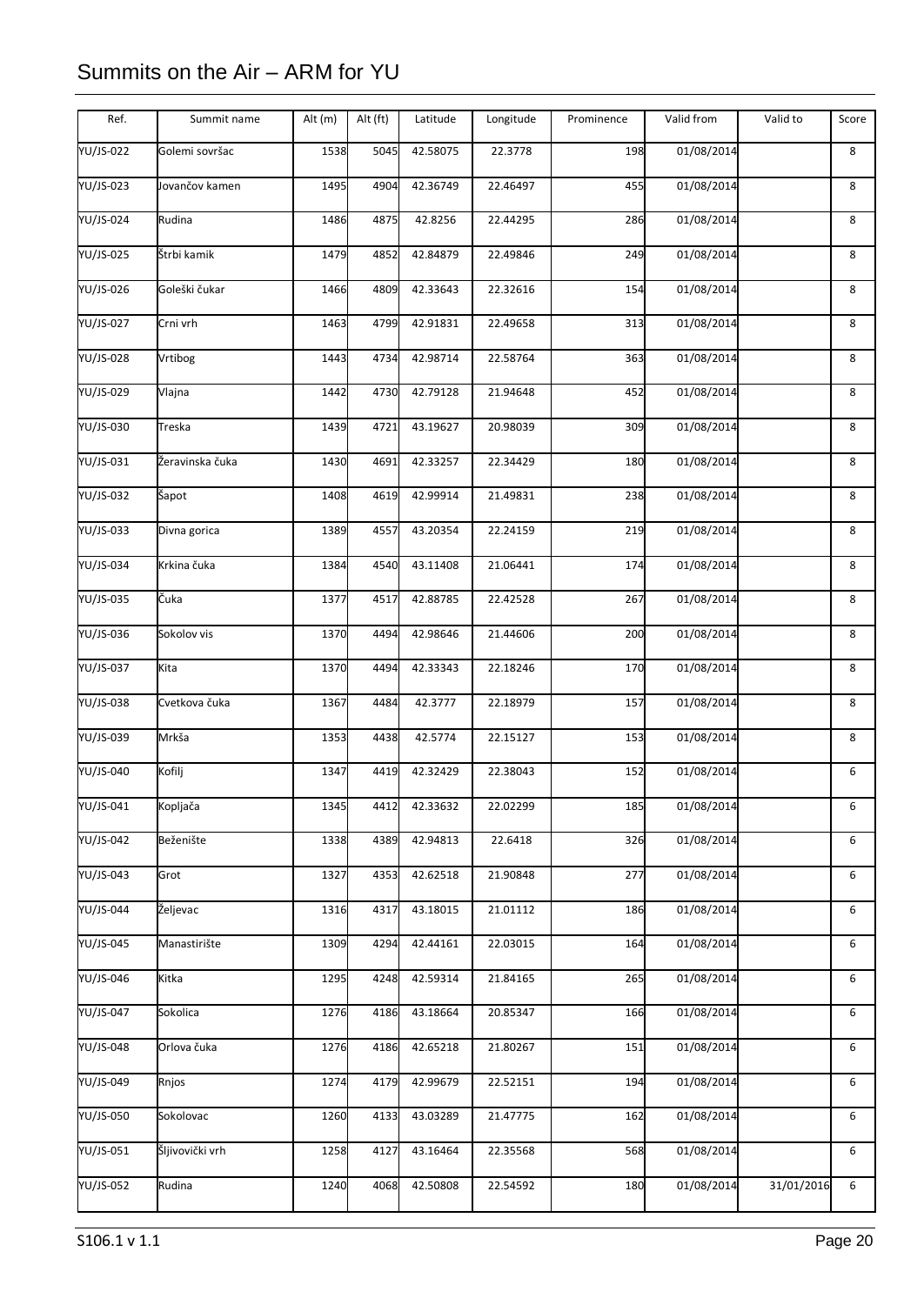| Ref.      | Summit name     | Alt (m) | Alt (ft) | Latitude | Longitude | Prominence | Valid from | Valid to   | Score |
|-----------|-----------------|---------|----------|----------|-----------|------------|------------|------------|-------|
| YU/JS-022 | Golemi sovršac  | 1538    | 5045     | 42.58075 | 22.3778   | 198        | 01/08/2014 |            | 8     |
| YU/JS-023 | Jovančov kamen  | 1495    | 4904     | 42.36749 | 22.46497  | 455        | 01/08/2014 |            | 8     |
| YU/JS-024 | Rudina          | 1486    | 4875     | 42.8256  | 22.44295  | 286        | 01/08/2014 |            | 8     |
| YU/JS-025 | Štrbi kamik     | 1479    | 4852     | 42.84879 | 22.49846  | 249        | 01/08/2014 |            | 8     |
| YU/JS-026 | Goleški čukar   | 1466    | 4809     | 42.33643 | 22.32616  | 154        | 01/08/2014 |            | 8     |
| YU/JS-027 | Crni vrh        | 1463    | 4799     | 42.91831 | 22.49658  | 313        | 01/08/2014 |            | 8     |
| YU/JS-028 | Vrtibog         | 1443    | 4734     | 42.98714 | 22.58764  | 363        | 01/08/2014 |            | 8     |
| YU/JS-029 | Vlajna          | 1442    | 4730     | 42.79128 | 21.94648  | 452        | 01/08/2014 |            | 8     |
| YU/JS-030 | Treska          | 1439    | 4721     | 43.19627 | 20.98039  | 309        | 01/08/2014 |            | 8     |
| YU/JS-031 | Žeravinska čuka | 1430    | 4691     | 42.33257 | 22.34429  | 180        | 01/08/2014 |            | 8     |
| YU/JS-032 | Sapot           | 1408    | 4619     | 42.99914 | 21.49831  | 238        | 01/08/2014 |            | 8     |
| YU/JS-033 | Divna gorica    | 1389    | 4557     | 43.20354 | 22.24159  | 219        | 01/08/2014 |            | 8     |
| YU/JS-034 | Krkina čuka     | 1384    | 4540     | 43.11408 | 21.06441  | 174        | 01/08/2014 |            | 8     |
| YU/JS-035 | Čuka            | 1377    | 4517     | 42.88785 | 22.42528  | 267        | 01/08/2014 |            | 8     |
| YU/JS-036 | Sokolov vis     | 1370    | 4494     | 42.98646 | 21.44606  | 200        | 01/08/2014 |            | 8     |
| YU/JS-037 | Kita            | 1370    | 4494     | 42.33343 | 22.18246  | 170        | 01/08/2014 |            | 8     |
| YU/JS-038 | Cvetkova čuka   | 1367    | 4484     | 42.3777  | 22.18979  | 157        | 01/08/2014 |            | 8     |
| YU/JS-039 | Mrkša           | 1353    | 4438     | 42.5774  | 22.15127  | 153        | 01/08/2014 |            | 8     |
| YU/JS-040 | Kofilj          | 1347    | 4419     | 42.32429 | 22.38043  | 152        | 01/08/2014 |            | 6     |
| YU/JS-041 | Kopljača        | 1345    | 4412     | 42.33632 | 22.02299  | 185        | 01/08/2014 |            | 6     |
| YU/JS-042 | Beženište       | 1338    | 4389     | 42.94813 | 22.6418   | 326        | 01/08/2014 |            | 6     |
| YU/JS-043 | Grot            | 1327    | 4353     | 42.62518 | 21.90848  | 277        | 01/08/2014 |            | 6     |
| YU/JS-044 | Željevac        | 1316    | 4317     | 43.18015 | 21.01112  | 186        | 01/08/2014 |            | 6     |
| YU/JS-045 | Manastirište    | 1309    | 4294     | 42.44161 | 22.03015  | 164        | 01/08/2014 |            | 6     |
| YU/JS-046 | Kitka           | 1295    | 4248     | 42.59314 | 21.84165  | 265        | 01/08/2014 |            | 6     |
| YU/JS-047 | Sokolica        | 1276    | 4186     | 43.18664 | 20.85347  | 166        | 01/08/2014 |            | 6     |
| YU/JS-048 | Orlova čuka     | 1276    | 4186     | 42.65218 | 21.80267  | 151        | 01/08/2014 |            | 6     |
| YU/JS-049 | Rnjos           | 1274    | 4179     | 42.99679 | 22.52151  | 194        | 01/08/2014 |            | 6     |
| YU/JS-050 | Sokolovac       | 1260    | 4133     | 43.03289 | 21.47775  | 162        | 01/08/2014 |            | 6     |
| YU/JS-051 | Šljivovički vrh | 1258    | 4127     | 43.16464 | 22.35568  | 568        | 01/08/2014 |            | 6     |
| YU/JS-052 | Rudina          | 1240    | 4068     | 42.50808 | 22.54592  | 180        | 01/08/2014 | 31/01/2016 | 6     |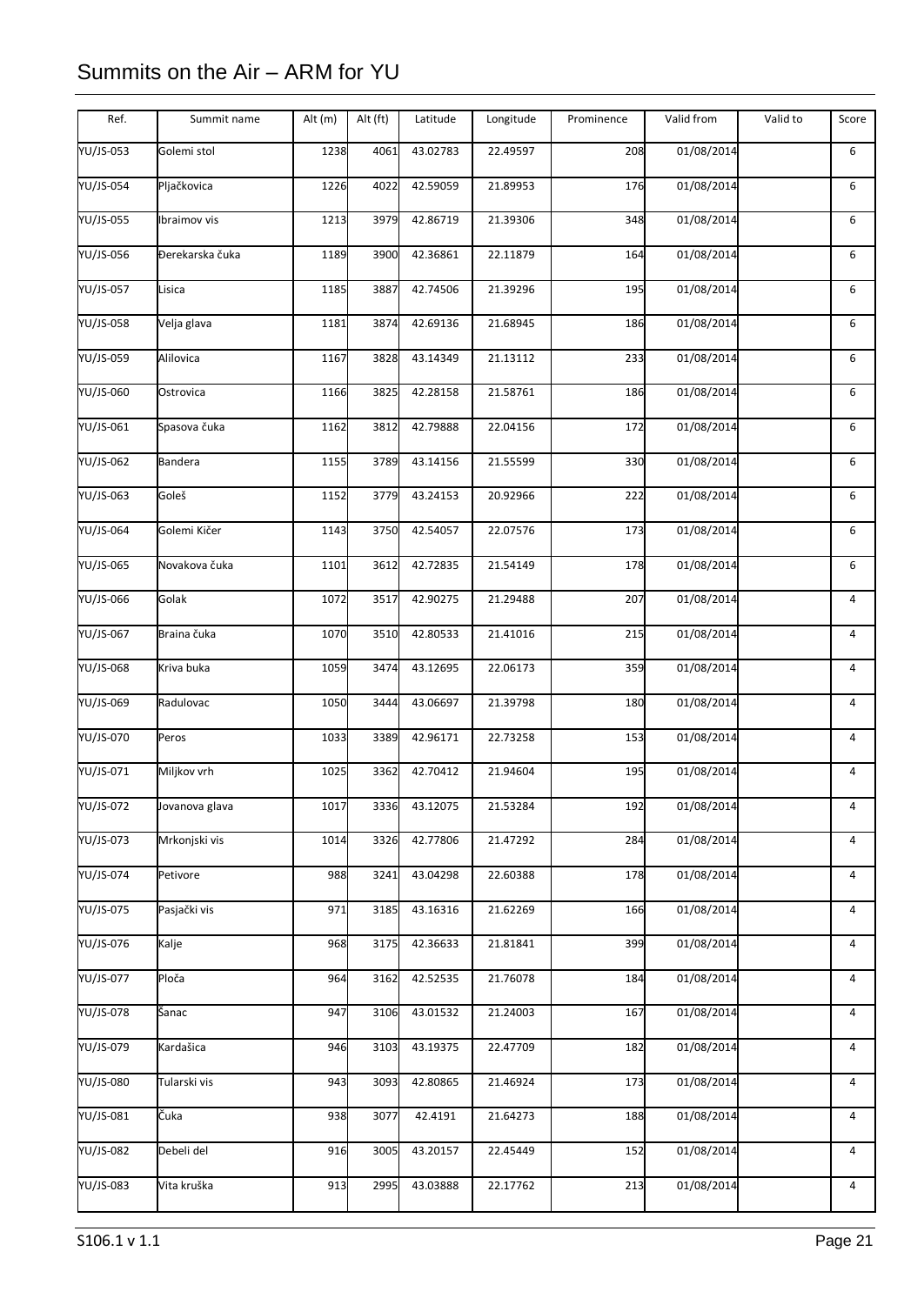| Ref.      | Summit name     | Alt (m) | Alt (ft) | Latitude | Longitude | Prominence | Valid from | Valid to | Score |
|-----------|-----------------|---------|----------|----------|-----------|------------|------------|----------|-------|
| YU/JS-053 | Golemi stol     | 1238    | 4061     | 43.02783 | 22.49597  | 208        | 01/08/2014 |          | 6     |
| YU/JS-054 | Pljačkovica     | 1226    | 4022     | 42.59059 | 21.89953  | 176        | 01/08/2014 |          | 6     |
| YU/JS-055 | Ibraimov vis    | 1213    | 3979     | 42.86719 | 21.39306  | 348        | 01/08/2014 |          | 6     |
| YU/JS-056 | Đerekarska čuka | 1189    | 3900     | 42.36861 | 22.11879  | 164        | 01/08/2014 |          | 6     |
| YU/JS-057 | Lisica          | 1185    | 3887     | 42.74506 | 21.39296  | 195        | 01/08/2014 |          | 6     |
| YU/JS-058 | Velja glava     | 1181    | 3874     | 42.69136 | 21.68945  | 186        | 01/08/2014 |          | 6     |
| YU/JS-059 | Alilovica       | 1167    | 3828     | 43.14349 | 21.13112  | 233        | 01/08/2014 |          | 6     |
| YU/JS-060 | Ostrovica       | 1166    | 3825     | 42.28158 | 21.58761  | 186        | 01/08/2014 |          | 6     |
| YU/JS-061 | Spasova čuka    | 1162    | 3812     | 42.79888 | 22.04156  | 172        | 01/08/2014 |          | 6     |
| YU/JS-062 | <b>Bandera</b>  | 1155    | 3789     | 43.14156 | 21.55599  | 330        | 01/08/2014 |          | 6     |
| YU/JS-063 | Goleš           | 1152    | 3779     | 43.24153 | 20.92966  | 222        | 01/08/2014 |          | 6     |
| YU/JS-064 | Golemi Kičer    | 1143    | 3750     | 42.54057 | 22.07576  | 173        | 01/08/2014 |          | 6     |
| YU/JS-065 | Novakova čuka   | 1101    | 3612     | 42.72835 | 21.54149  | 178        | 01/08/2014 |          | 6     |
| YU/JS-066 | Golak           | 1072    | 3517     | 42.90275 | 21.29488  | 207        | 01/08/2014 |          | 4     |
| YU/JS-067 | Braina čuka     | 1070    | 3510     | 42.80533 | 21.41016  | 215        | 01/08/2014 |          | 4     |
| YU/JS-068 | Kriva buka      | 1059    | 3474     | 43.12695 | 22.06173  | 359        | 01/08/2014 |          | 4     |
| YU/JS-069 | Radulovac       | 1050    | 3444     | 43.06697 | 21.39798  | 180        | 01/08/2014 |          | 4     |
| YU/JS-070 | Peros           | 1033    | 3389     | 42.96171 | 22.73258  | 153        | 01/08/2014 |          | 4     |
| YU/JS-071 | Miljkov vrh     | 1025    | 3362     | 42.70412 | 21.94604  | 195        | 01/08/2014 |          | 4     |
| YU/JS-072 | Jovanova glava  | 1017    | 3336     | 43.12075 | 21.53284  | 192        | 01/08/2014 |          | 4     |
| YU/JS-073 | Mrkonjski vis   | 1014    | 3326     | 42.77806 | 21.47292  | 284        | 01/08/2014 |          | 4     |
| YU/JS-074 | Petivore        | 988     | 3241     | 43.04298 | 22.60388  | 178        | 01/08/2014 |          | 4     |
| YU/JS-075 | Pasjački vis    | 971     | 3185     | 43.16316 | 21.62269  | 166        | 01/08/2014 |          | 4     |
| YU/JS-076 | Kalje           | 968     | 3175     | 42.36633 | 21.81841  | 399        | 01/08/2014 |          | 4     |
| YU/JS-077 | Ploča           | 964     | 3162     | 42.52535 | 21.76078  | 184        | 01/08/2014 |          | 4     |
| YU/JS-078 | Šanac           | 947     | 3106     | 43.01532 | 21.24003  | 167        | 01/08/2014 |          | 4     |
| YU/JS-079 | Kardašica       | 946     | 3103     | 43.19375 | 22.47709  | 182        | 01/08/2014 |          | 4     |
| YU/JS-080 | Tularski vis    | 943     | 3093     | 42.80865 | 21.46924  | 173        | 01/08/2014 |          | 4     |
| YU/JS-081 | Čuka            | 938     | 3077     | 42.4191  | 21.64273  | 188        | 01/08/2014 |          | 4     |
| YU/JS-082 | Debeli del      | 916     | 3005     | 43.20157 | 22.45449  | 152        | 01/08/2014 |          | 4     |
| YU/JS-083 | Vita kruška     | 913     | 2995     | 43.03888 | 22.17762  | 213        | 01/08/2014 |          | 4     |
|           |                 |         |          |          |           |            |            |          |       |